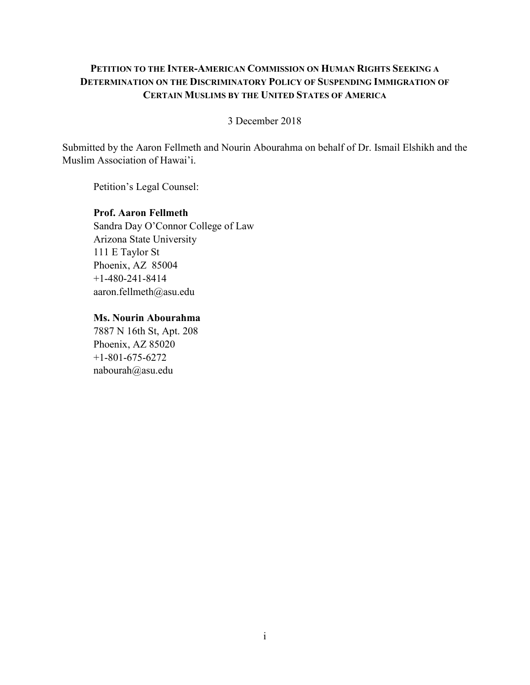## **PETITION TO THE INTER-AMERICAN COMMISSION ON HUMAN RIGHTS SEEKING A DETERMINATION ON THE DISCRIMINATORY POLICY OF SUSPENDING IMMIGRATION OF CERTAIN MUSLIMS BY THE UNITED STATES OF AMERICA**

## 3 December 2018

Submitted by the Aaron Fellmeth and Nourin Abourahma on behalf of Dr. Ismail Elshikh and the Muslim Association of Hawai'i.

Petition's Legal Counsel:

## **Prof. Aaron Fellmeth** Sandra Day O'Connor College of Law Arizona State University 111 E Taylor St Phoenix, AZ 85004

+1-480-241-8414 aaron.fellmeth@asu.edu

**Ms. Nourin Abourahma**

7887 N 16th St, Apt. 208 Phoenix, AZ 85020 +1-801-675-6272 nabourah@asu.edu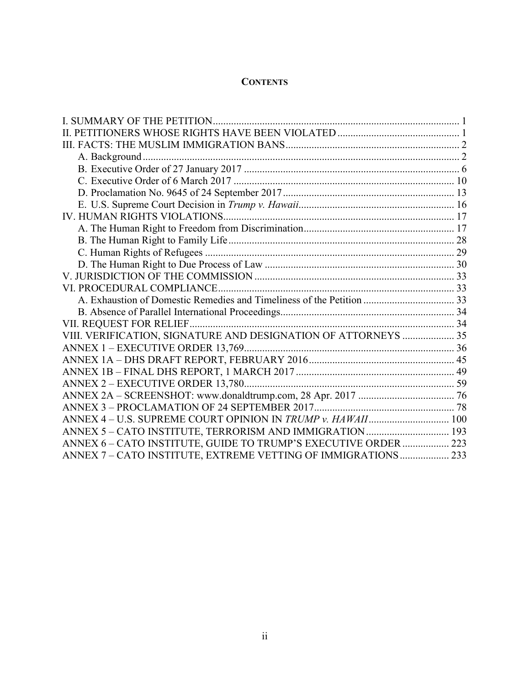## **CONTENTS**

| VIII. VERIFICATION, SIGNATURE AND DESIGNATION OF ATTORNEYS  35  |  |
|-----------------------------------------------------------------|--|
|                                                                 |  |
|                                                                 |  |
|                                                                 |  |
|                                                                 |  |
|                                                                 |  |
|                                                                 |  |
| ANNEX 4 - U.S. SUPREME COURT OPINION IN TRUMP v. HAWAII 100     |  |
| ANNEX 5 - CATO INSTITUTE, TERRORISM AND IMMIGRATION  193        |  |
| ANNEX 6 - CATO INSTITUTE, GUIDE TO TRUMP'S EXECUTIVE ORDER  223 |  |
| ANNEX 7 - CATO INSTITUTE, EXTREME VETTING OF IMMIGRATIONS 233   |  |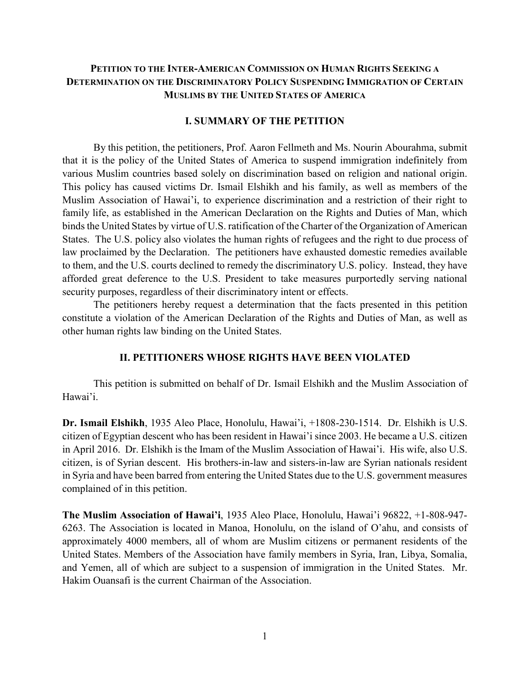## **PETITION TO THE INTER-AMERICAN COMMISSION ON HUMAN RIGHTS SEEKING A DETERMINATION ON THE DISCRIMINATORY POLICY SUSPENDING IMMIGRATION OF CERTAIN MUSLIMS BY THE UNITED STATES OF AMERICA**

#### **I. SUMMARY OF THE PETITION**

<span id="page-2-0"></span>By this petition, the petitioners, Prof. Aaron Fellmeth and Ms. Nourin Abourahma, submit that it is the policy of the United States of America to suspend immigration indefinitely from various Muslim countries based solely on discrimination based on religion and national origin. This policy has caused victims Dr. Ismail Elshikh and his family, as well as members of the Muslim Association of Hawai'i, to experience discrimination and a restriction of their right to family life, as established in the American Declaration on the Rights and Duties of Man, which binds the United States by virtue of U.S. ratification of the Charter of the Organization of American States. The U.S. policy also violates the human rights of refugees and the right to due process of law proclaimed by the Declaration. The petitioners have exhausted domestic remedies available to them, and the U.S. courts declined to remedy the discriminatory U.S. policy. Instead, they have afforded great deference to the U.S. President to take measures purportedly serving national security purposes, regardless of their discriminatory intent or effects.

The petitioners hereby request a determination that the facts presented in this petition constitute a violation of the American Declaration of the Rights and Duties of Man, as well as other human rights law binding on the United States.

### **II. PETITIONERS WHOSE RIGHTS HAVE BEEN VIOLATED**

<span id="page-2-1"></span>This petition is submitted on behalf of Dr. Ismail Elshikh and the Muslim Association of Hawai'i.

**Dr. Ismail Elshikh**, 1935 Aleo Place, Honolulu, Hawai'i, +1808-230-1514. Dr. Elshikh is U.S. citizen of Egyptian descent who has been resident in Hawai'i since 2003. He became a U.S. citizen in April 2016. Dr. Elshikh is the Imam of the Muslim Association of Hawai'i. His wife, also U.S. citizen, is of Syrian descent. His brothers-in-law and sisters-in-law are Syrian nationals resident in Syria and have been barred from entering the United States due to the U.S. government measures complained of in this petition.

**The Muslim Association of Hawai'i**, 1935 Aleo Place, Honolulu, Hawai'i 96822, +1-808-947- 6263. The Association is located in Manoa, Honolulu, on the island of O'ahu, and consists of approximately 4000 members, all of whom are Muslim citizens or permanent residents of the United States. Members of the Association have family members in Syria, Iran, Libya, Somalia, and Yemen, all of which are subject to a suspension of immigration in the United States. Mr. Hakim Ouansafi is the current Chairman of the Association.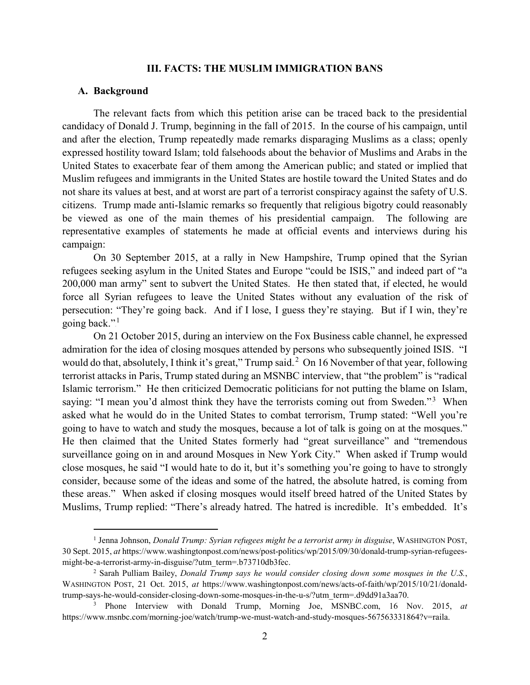#### **III. FACTS: THE MUSLIM IMMIGRATION BANS**

#### <span id="page-3-1"></span><span id="page-3-0"></span>**A. Background**

The relevant facts from which this petition arise can be traced back to the presidential candidacy of Donald J. Trump, beginning in the fall of 2015. In the course of his campaign, until and after the election, Trump repeatedly made remarks disparaging Muslims as a class; openly expressed hostility toward Islam; told falsehoods about the behavior of Muslims and Arabs in the United States to exacerbate fear of them among the American public; and stated or implied that Muslim refugees and immigrants in the United States are hostile toward the United States and do not share its values at best, and at worst are part of a terrorist conspiracy against the safety of U.S. citizens. Trump made anti-Islamic remarks so frequently that religious bigotry could reasonably be viewed as one of the main themes of his presidential campaign. The following are representative examples of statements he made at official events and interviews during his campaign:

On 30 September 2015, at a rally in New Hampshire, Trump opined that the Syrian refugees seeking asylum in the United States and Europe "could be ISIS," and indeed part of "a 200,000 man army" sent to subvert the United States. He then stated that, if elected, he would force all Syrian refugees to leave the United States without any evaluation of the risk of persecution: "They're going back. And if I lose, I guess they're staying. But if I win, they're going back."<sup>1</sup>

On 21 October 2015, during an interview on the Fox Business cable channel, he expressed admiration for the idea of closing mosques attended by persons who subsequently joined ISIS. "I would do that, absolutely, I think it's great," Trump said. $^2$  On 16 November of that year, following terrorist attacks in Paris, Trump stated during an MSNBC interview, that "the problem" is "radical Islamic terrorism." He then criticized Democratic politicians for not putting the blame on Islam, saying: "I mean you'd almost think they have the terrorists coming out from Sweden."<sup>3</sup> When asked what he would do in the United States to combat terrorism, Trump stated: "Well you're going to have to watch and study the mosques, because a lot of talk is going on at the mosques." He then claimed that the United States formerly had "great surveillance" and "tremendous surveillance going on in and around Mosques in New York City." When asked if Trump would close mosques, he said "I would hate to do it, but it's something you're going to have to strongly consider, because some of the ideas and some of the hatred, the absolute hatred, is coming from these areas." When asked if closing mosques would itself breed hatred of the United States by Muslims, Trump replied: "There's already hatred. The hatred is incredible. It's embedded. It's

 <sup>1</sup> Jenna Johnson, *Donald Trump: Syrian refugees might be a terrorist army in disguise*, WASHINGTON POST, 30 Sept. 2015, *at* https://www.washingtonpost.com/news/post-politics/wp/2015/09/30/donald-trump-syrian-refugeesmight-be-a-terrorist-army-in-disguise/?utm\_term=.b73710db3fec.

<sup>2</sup> Sarah Pulliam Bailey, *Donald Trump says he would consider closing down some mosques in the U.S.*, WASHINGTON POST, 21 Oct. 2015, *at* https://www.washingtonpost.com/news/acts-of-faith/wp/2015/10/21/donaldtrump-says-he-would-consider-closing-down-some-mosques-in-the-u-s/?utm\_term=.d9dd91a3aa70.

<sup>3</sup> Phone Interview with Donald Trump, Morning Joe, MSNBC.com, 16 Nov. 2015, *at*  https://www.msnbc.com/morning-joe/watch/trump-we-must-watch-and-study-mosques-567563331864?v=raila.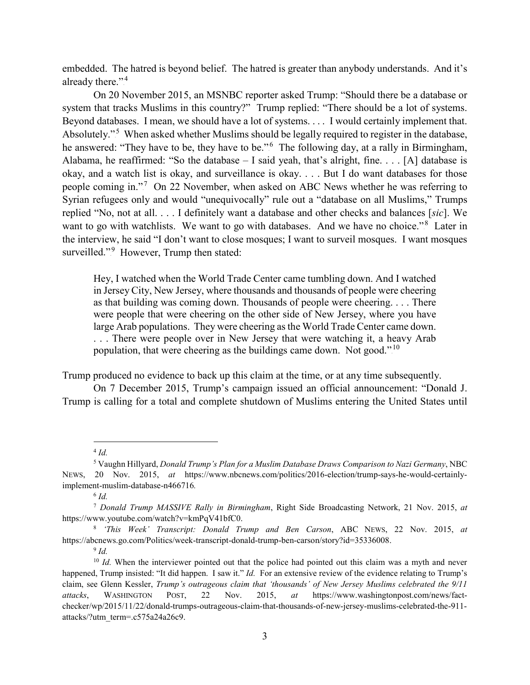embedded. The hatred is beyond belief. The hatred is greater than anybody understands. And it's already there."<sup>4</sup>

On 20 November 2015, an MSNBC reporter asked Trump: "Should there be a database or system that tracks Muslims in this country?" Trump replied: "There should be a lot of systems. Beyond databases. I mean, we should have a lot of systems. . . . I would certainly implement that. Absolutely."<sup>5</sup> When asked whether Muslims should be legally required to register in the database, he answered: "They have to be, they have to be."<sup>6</sup> The following day, at a rally in Birmingham, Alabama, he reaffirmed: "So the database  $- I$  said yeah, that's alright, fine. . . . [A] database is okay, and a watch list is okay, and surveillance is okay. . . . But I do want databases for those people coming in."<sup>7</sup> On 22 November, when asked on ABC News whether he was referring to Syrian refugees only and would "unequivocally" rule out a "database on all Muslims," Trumps replied "No, not at all. . . . I definitely want a database and other checks and balances [*sic*]. We want to go with watchlists. We want to go with databases. And we have no choice."<sup>8</sup> Later in the interview, he said "I don't want to close mosques; I want to surveil mosques. I want mosques surveilled."<sup>9</sup> However, Trump then stated:

Hey, I watched when the World Trade Center came tumbling down. And I watched in Jersey City, New Jersey, where thousands and thousands of people were cheering as that building was coming down. Thousands of people were cheering. . . . There were people that were cheering on the other side of New Jersey, where you have large Arab populations. They were cheering as the World Trade Center came down. . . . There were people over in New Jersey that were watching it, a heavy Arab population, that were cheering as the buildings came down. Not good."<sup>10</sup>

Trump produced no evidence to back up this claim at the time, or at any time subsequently.

On 7 December 2015, Trump's campaign issued an official announcement: "Donald J. Trump is calling for a total and complete shutdown of Muslims entering the United States until

<sup>8</sup> *'This Week' Transcript: Donald Trump and Ben Carson*, ABC NEWS, 22 Nov. 2015, *at*  https://abcnews.go.com/Politics/week-transcript-donald-trump-ben-carson/story?id=35336008.

<sup>9</sup> *Id.*

 <sup>4</sup> *Id.*

<sup>5</sup> Vaughn Hillyard, *Donald Trump's Plan for a Muslim Database Draws Comparison to Nazi Germany*, NBC NEWS, 20 Nov. 2015, *at* https://www.nbcnews.com/politics/2016-election/trump-says-he-would-certainlyimplement-muslim-database-n466716*.*

<sup>6</sup> *Id.*

<sup>7</sup> *Donald Trump MASSIVE Rally in Birmingham*, Right Side Broadcasting Network, 21 Nov. 2015, *at*  https://www.youtube.com/watch?v=kmPqV41bfC0.

<sup>&</sup>lt;sup>10</sup> *Id.* When the interviewer pointed out that the police had pointed out this claim was a myth and never happened, Trump insisted: "It did happen. I saw it." *Id.* For an extensive review of the evidence relating to Trump's claim, see Glenn Kessler, *Trump's outrageous claim that 'thousands' of New Jersey Muslims celebrated the 9/11 attacks*, WASHINGTON POST, 22 Nov. 2015, *at* https://www.washingtonpost.com/news/factchecker/wp/2015/11/22/donald-trumps-outrageous-claim-that-thousands-of-new-jersey-muslims-celebrated-the-911 attacks/?utm\_term=.c575a24a26c9.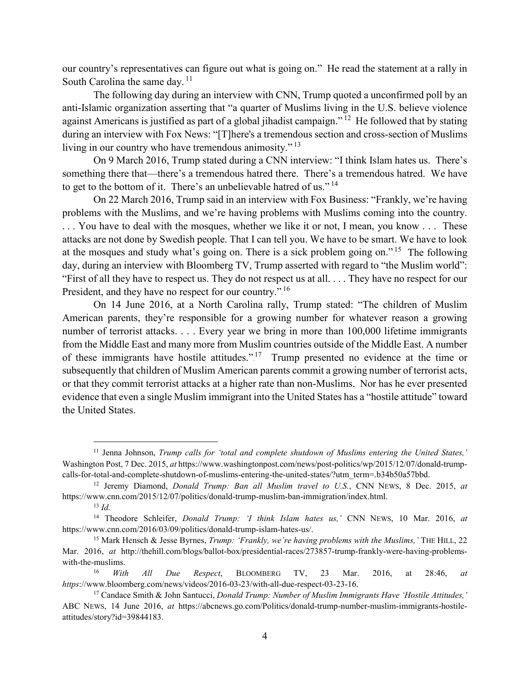our country's representatives can figure out what is going on." He read the statement at a rally in South Carolina the same day. $11$ 

The following day during an interview with CNN, Trump quoted a unconfirmed poll by an anti-Islamic organization asserting that "a quarter of Muslims living in the U.S. believe violence against Americans is justified as part of a global jihadist campaign."<sup>12</sup> He followed that by stating during an interview with Fox News: "[T]here's a tremendous section and cross-section of Muslims living in our country who have tremendous animosity.".<sup>13</sup>

On 9 March 2016, Trump stated during a CNN interview: "I think Islam hates us. There's something there that—there's a tremendous hatred there. There's a tremendous hatred. We have to get to the bottom of it. There's an unbelievable hatred of us.".<sup>14</sup>

On 22 March 2016, Trump said in an interview with Fox Business: "Frankly, we're having problems with the Muslims, and we're having problems with Muslims coming into the country. . . . You have to deal with the mosques, whether we like it or not, I mean, you know . . . These attacks are not done by Swedish people. That I can tell you. We have to be smart. We have to look at the mosques and study what's going on. There is a sick problem going on."<sup>15</sup> The following day, during an interview with Bloomberg TV, Trump asserted with regard to "the Muslim world": "First of all they have to respect us. They do not respect us at all. . . . They have no respect for our President, and they have no respect for our country.".<sup>16</sup>

On 14 June 2016, at a North Carolina rally, Trump stated: "The children of Muslim American parents, they're responsible for a growing number for whatever reason a growing number of terrorist attacks. . . . Every year we bring in more than 100,000 lifetime immigrants from the Middle East and many more from Muslim countries outside of the Middle East. A number of these immigrants have hostile attitudes.".<sup>17</sup> Trump presented no evidence at the time or subsequently that children of Muslim American parents commit a growing number of terrorist acts, or that they commit terrorist attacks at a higher rate than non-Muslims. Nor has he ever presented evidence that even a single Muslim immigrant into the United States has a "hostile attitude" toward the United States.

 <sup>11</sup> Jenna Johnson, *Trump calls for 'total and complete shutdown of Muslims entering the United States,'* Washington Post, 7 Dec. 2015, *at* https://www.washingtonpost.com/news/post-politics/wp/2015/12/07/donald-trumpcalls-for-total-and-complete-shutdown-of-muslims-entering-the-united-states/?utm\_term=.b34b50a57bbd.

<sup>12</sup> Jeremy Diamond, *Donald Trump: Ban all Muslim travel to U.S.*, CNN NEWS, 8 Dec. 2015, *at*  https://www.cnn.com/2015/12/07/politics/donald-trump-muslim-ban-immigration/index.html.

<sup>13</sup> *Id.*

<sup>14</sup> Theodore Schleifer, *Donald Trump: 'I think Islam hates us,'* CNN NEWS, 10 Mar. 2016, *at*  https://www.cnn.com/2016/03/09/politics/donald-trump-islam-hates-us/.

<sup>15</sup> Mark Hensch & Jesse Byrnes, *Trump: 'Frankly, we're having problems with the Muslims,'* THE HILL, 22 Mar. 2016, *at* http://thehill.com/blogs/ballot-box/presidential-races/273857-trump-frankly-were-having-problemswith-the-muslims.

<sup>16</sup> *With All Due Respect*, BLOOMBERG TV, 23 Mar. 2016, at 28:46, *at https*://www.bloomberg.com/news/videos/2016-03-23/with-all-due-respect-03-23-16.

<sup>17</sup> Candace Smith & John Santucci, *Donald Trump: Number of Muslim Immigrants Have 'Hostile Attitudes,'*  ABC NEWS, 14 June 2016, *at* https://abcnews.go.com/Politics/donald-trump-number-muslim-immigrants-hostileattitudes/story?id=39844183.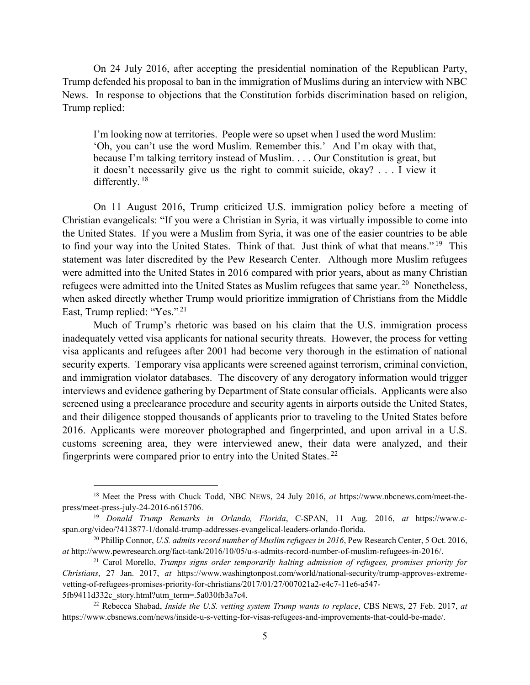On 24 July 2016, after accepting the presidential nomination of the Republican Party, Trump defended his proposal to ban in the immigration of Muslims during an interview with NBC News. In response to objections that the Constitution forbids discrimination based on religion, Trump replied:

I'm looking now at territories. People were so upset when I used the word Muslim: 'Oh, you can't use the word Muslim. Remember this.' And I'm okay with that, because I'm talking territory instead of Muslim. . . . Our Constitution is great, but it doesn't necessarily give us the right to commit suicide, okay? . . . I view it differently.<sup>18</sup>

On 11 August 2016, Trump criticized U.S. immigration policy before a meeting of Christian evangelicals: "If you were a Christian in Syria, it was virtually impossible to come into the United States. If you were a Muslim from Syria, it was one of the easier countries to be able to find your way into the United States. Think of that. Just think of what that means.".<sup>19</sup> This statement was later discredited by the Pew Research Center. Although more Muslim refugees were admitted into the United States in 2016 compared with prior years, about as many Christian refugees were admitted into the United States as Muslim refugees that same year.<sup>20</sup> Nonetheless, when asked directly whether Trump would prioritize immigration of Christians from the Middle East, Trump replied: "Yes.".<sup>21</sup>

Much of Trump's rhetoric was based on his claim that the U.S. immigration process inadequately vetted visa applicants for national security threats. However, the process for vetting visa applicants and refugees after 2001 had become very thorough in the estimation of national security experts. Temporary visa applicants were screened against terrorism, criminal conviction, and immigration violator databases. The discovery of any derogatory information would trigger interviews and evidence gathering by Department of State consular officials. Applicants were also screened using a preclearance procedure and security agents in airports outside the United States, and their diligence stopped thousands of applicants prior to traveling to the United States before 2016. Applicants were moreover photographed and fingerprinted, and upon arrival in a U.S. customs screening area, they were interviewed anew, their data were analyzed, and their fingerprints were compared prior to entry into the United States.<sup>22</sup>

 <sup>18</sup> Meet the Press with Chuck Todd, NBC NEWS, 24 July 2016, *at* https://www.nbcnews.com/meet-thepress/meet-press-july-24-2016-n615706.

<sup>19</sup> *Donald Trump Remarks in Orlando, Florida*, C-SPAN, 11 Aug. 2016, *at* https://www.cspan.org/video/?413877-1/donald-trump-addresses-evangelical-leaders-orlando-florida.

<sup>20</sup> Phillip Connor, *U.S. admits record number of Muslim refugees in 2016*, Pew Research Center, 5 Oct. 2016, *at* http://www.pewresearch.org/fact-tank/2016/10/05/u-s-admits-record-number-of-muslim-refugees-in-2016/.

<sup>21</sup> Carol Morello, *Trumps signs order temporarily halting admission of refugees, promises priority for Christians*, 27 Jan. 2017, *at* https://www.washingtonpost.com/world/national-security/trump-approves-extremevetting-of-refugees-promises-priority-for-christians/2017/01/27/007021a2-e4c7-11e6-a547- 5fb9411d332c\_story.html?utm\_term=.5a030fb3a7c4.

<sup>22</sup> Rebecca Shabad, *Inside the U.S. vetting system Trump wants to replace*, CBS NEWS, 27 Feb. 2017, *at* https://www.cbsnews.com/news/inside-u-s-vetting-for-visas-refugees-and-improvements-that-could-be-made/.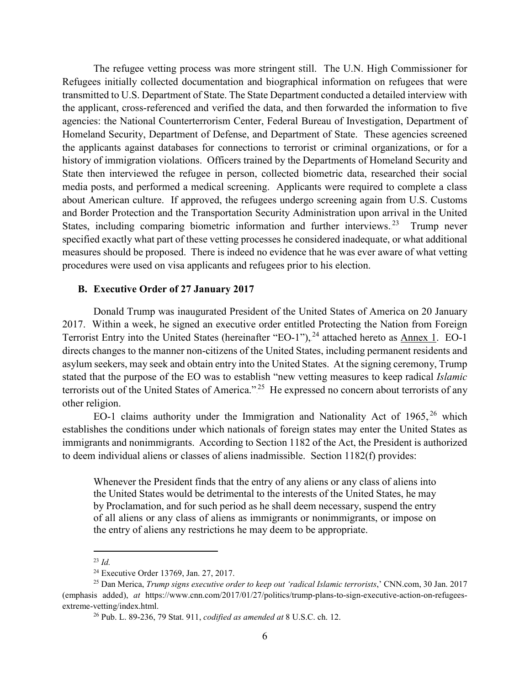The refugee vetting process was more stringent still. The U.N. High Commissioner for Refugees initially collected documentation and biographical information on refugees that were transmitted to U.S. Department of State. The State Department conducted a detailed interview with the applicant, cross-referenced and verified the data, and then forwarded the information to five agencies: the National Counterterrorism Center, Federal Bureau of Investigation, Department of Homeland Security, Department of Defense, and Department of State. These agencies screened the applicants against databases for connections to terrorist or criminal organizations, or for a history of immigration violations. Officers trained by the Departments of Homeland Security and State then interviewed the refugee in person, collected biometric data, researched their social media posts, and performed a medical screening. Applicants were required to complete a class about American culture. If approved, the refugees undergo screening again from U.S. Customs and Border Protection and the Transportation Security Administration upon arrival in the United States, including comparing biometric information and further interviews.<sup>23</sup> Trump never specified exactly what part of these vetting processes he considered inadequate, or what additional measures should be proposed. There is indeed no evidence that he was ever aware of what vetting procedures were used on visa applicants and refugees prior to his election.

#### <span id="page-7-0"></span>**B. Executive Order of 27 January 2017**

Donald Trump was inaugurated President of the United States of America on 20 January 2017. Within a week, he signed an executive order entitled Protecting the Nation from Foreign Terrorist Entry into the United States (hereinafter "EO-1"), <sup>24</sup> attached hereto as **Annex 1. EO-1** directs changes to the manner non-citizens of the United States, including permanent residents and asylum seekers, may seek and obtain entry into the United States. At the signing ceremony, Trump stated that the purpose of the EO was to establish "new vetting measures to keep radical *Islamic*  terrorists out of the United States of America."<sup>25</sup> He expressed no concern about terrorists of any other religion.

EO-1 claims authority under the Immigration and Nationality Act of  $1965$ ,  $26$  which establishes the conditions under which nationals of foreign states may enter the United States as immigrants and nonimmigrants. According to Section 1182 of the Act, the President is authorized to deem individual aliens or classes of aliens inadmissible. Section 1182(f) provides:

Whenever the President finds that the entry of any aliens or any class of aliens into the United States would be detrimental to the interests of the United States, he may by Proclamation, and for such period as he shall deem necessary, suspend the entry of all aliens or any class of aliens as immigrants or nonimmigrants, or impose on the entry of aliens any restrictions he may deem to be appropriate.

 <sup>23</sup> *Id.*

<sup>24</sup> Executive Order 13769, Jan. 27, 2017.

<sup>25</sup> Dan Merica, *Trump signs executive order to keep out 'radical Islamic terrorists*,' CNN.com, 30 Jan. 2017 (emphasis added), *at* https://www.cnn.com/2017/01/27/politics/trump-plans-to-sign-executive-action-on-refugeesextreme-vetting/index.html.

<sup>26</sup> Pub. L. 89-236, 79 Stat. 911, *codified as amended at* 8 U.S.C. ch. 12.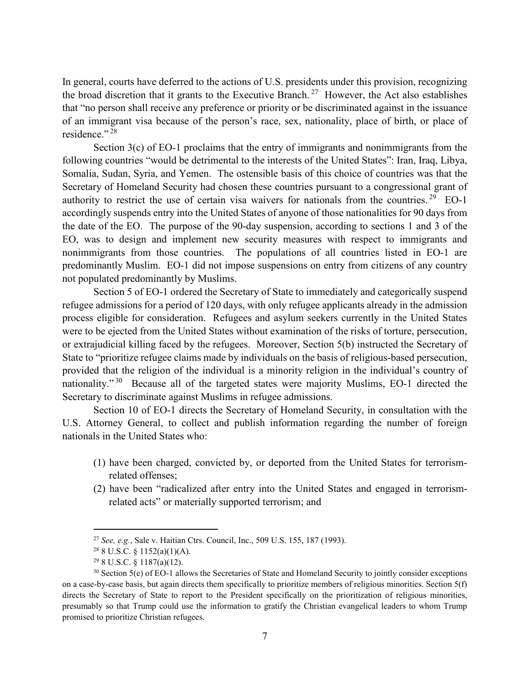In general, courts have deferred to the actions of U.S. presidents under this provision, recognizing the broad discretion that it grants to the Executive Branch.<sup>27</sup> However, the Act also establishes that "no person shall receive any preference or priority or be discriminated against in the issuance of an immigrant visa because of the person's race, sex, nationality, place of birth, or place of residence.".<sup>28</sup>

Section 3(c) of EO-1 proclaims that the entry of immigrants and nonimmigrants from the following countries "would be detrimental to the interests of the United States": Iran, Iraq, Libya, Somalia, Sudan, Syria, and Yemen. The ostensible basis of this choice of countries was that the Secretary of Homeland Security had chosen these countries pursuant to a congressional grant of authority to restrict the use of certain visa waivers for nationals from the countries.<sup>29</sup> EO-1 accordingly suspends entry into the United States of anyone of those nationalities for 90 days from the date of the EO. The purpose of the 90-day suspension, according to sections 1 and 3 of the EO, was to design and implement new security measures with respect to immigrants and nonimmigrants from those countries. The populations of all countries listed in EO-1 are predominantly Muslim. EO-1 did not impose suspensions on entry from citizens of any country not populated predominantly by Muslims.

Section 5 of EO-1 ordered the Secretary of State to immediately and categorically suspend refugee admissions for a period of 120 days, with only refugee applicants already in the admission process eligible for consideration. Refugees and asylum seekers currently in the United States were to be ejected from the United States without examination of the risks of torture, persecution, or extrajudicial killing faced by the refugees. Moreover, Section 5(b) instructed the Secretary of State to "prioritize refugee claims made by individuals on the basis of religious-based persecution, provided that the religion of the individual is a minority religion in the individual's country of nationality."<sup>30</sup> Because all of the targeted states were majority Muslims, EO-1 directed the Secretary to discriminate against Muslims in refugee admissions.

Section 10 of EO-1 directs the Secretary of Homeland Security, in consultation with the U.S. Attorney General, to collect and publish information regarding the number of foreign nationals in the United States who:

- (1) have been charged, convicted by, or deported from the United States for terrorismrelated offenses;
- (2) have been "radicalized after entry into the United States and engaged in terrorismrelated acts" or materially supported terrorism; and

 <sup>27</sup> *See, e.g.*, Sale v. Haitian Ctrs. Council, Inc., 509 U.S. 155, 187 (1993).

 $28$  8 U.S.C. § 1152(a)(1)(A).

 $29$  8 U.S.C. § 1187(a)(12).

<sup>30</sup> Section 5(e) of EO-1 allows the Secretaries of State and Homeland Security to jointly consider exceptions on a case-by-case basis, but again directs them specifically to prioritize members of religious minorities. Section 5(f) directs the Secretary of State to report to the President specifically on the prioritization of religious minorities, presumably so that Trump could use the information to gratify the Christian evangelical leaders to whom Trump promised to prioritize Christian refugees.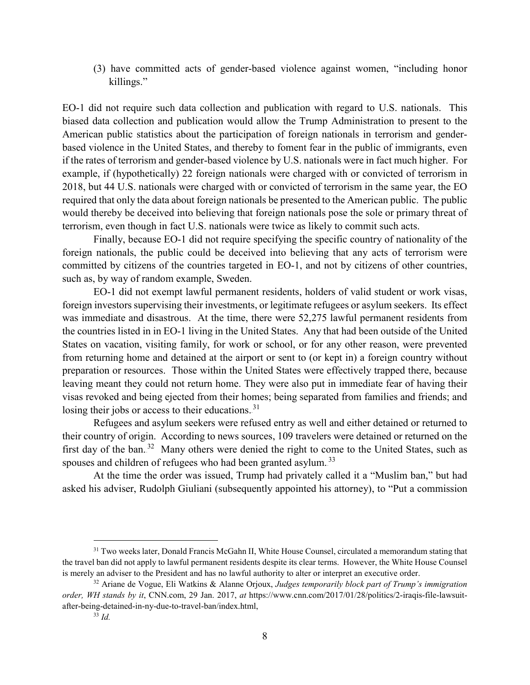(3) have committed acts of gender-based violence against women, "including honor killings."

EO-1 did not require such data collection and publication with regard to U.S. nationals. This biased data collection and publication would allow the Trump Administration to present to the American public statistics about the participation of foreign nationals in terrorism and genderbased violence in the United States, and thereby to foment fear in the public of immigrants, even if the rates of terrorism and gender-based violence by U.S. nationals were in fact much higher. For example, if (hypothetically) 22 foreign nationals were charged with or convicted of terrorism in 2018, but 44 U.S. nationals were charged with or convicted of terrorism in the same year, the EO required that only the data about foreign nationals be presented to the American public. The public would thereby be deceived into believing that foreign nationals pose the sole or primary threat of terrorism, even though in fact U.S. nationals were twice as likely to commit such acts.

Finally, because EO-1 did not require specifying the specific country of nationality of the foreign nationals, the public could be deceived into believing that any acts of terrorism were committed by citizens of the countries targeted in EO-1, and not by citizens of other countries, such as, by way of random example, Sweden.

EO-1 did not exempt lawful permanent residents, holders of valid student or work visas, foreign investors supervising their investments, or legitimate refugees or asylum seekers. Its effect was immediate and disastrous. At the time, there were 52,275 lawful permanent residents from the countries listed in in EO-1 living in the United States. Any that had been outside of the United States on vacation, visiting family, for work or school, or for any other reason, were prevented from returning home and detained at the airport or sent to (or kept in) a foreign country without preparation or resources. Those within the United States were effectively trapped there, because leaving meant they could not return home. They were also put in immediate fear of having their visas revoked and being ejected from their homes; being separated from families and friends; and losing their jobs or access to their educations.<sup>31</sup>

Refugees and asylum seekers were refused entry as well and either detained or returned to their country of origin. According to news sources, 109 travelers were detained or returned on the first day of the ban.<sup>32</sup> Many others were denied the right to come to the United States, such as spouses and children of refugees who had been granted asylum.<sup>33</sup>

At the time the order was issued, Trump had privately called it a "Muslim ban," but had asked his adviser, Rudolph Giuliani (subsequently appointed his attorney), to "Put a commission

<sup>&</sup>lt;sup>31</sup> Two weeks later, Donald Francis McGahn II, White House Counsel, circulated a memorandum stating that the travel ban did not apply to lawful permanent residents despite its clear terms. However, the White House Counsel is merely an adviser to the President and has no lawful authority to alter or interpret an executive order.

<sup>32</sup> Ariane de Vogue, Eli Watkins & Alanne Orjoux, *Judges temporarily block part of Trump's immigration order, WH stands by it*, CNN.com, 29 Jan. 2017, *at* https://www.cnn.com/2017/01/28/politics/2-iraqis-file-lawsuitafter-being-detained-in-ny-due-to-travel-ban/index.html,

<sup>33</sup> *Id.*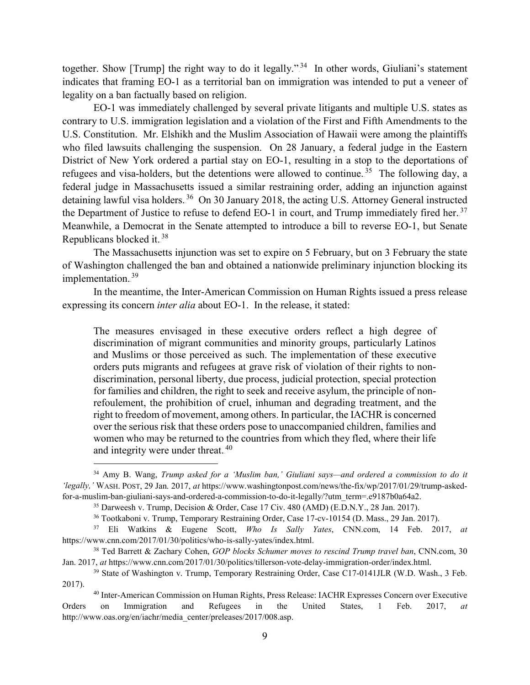together. Show [Trump] the right way to do it legally."<sup>34</sup> In other words, Giuliani's statement indicates that framing EO-1 as a territorial ban on immigration was intended to put a veneer of legality on a ban factually based on religion.

EO-1 was immediately challenged by several private litigants and multiple U.S. states as contrary to U.S. immigration legislation and a violation of the First and Fifth Amendments to the U.S. Constitution. Mr. Elshikh and the Muslim Association of Hawaii were among the plaintiffs who filed lawsuits challenging the suspension. On 28 January, a federal judge in the Eastern District of New York ordered a partial stay on EO-1, resulting in a stop to the deportations of refugees and visa-holders, but the detentions were allowed to continue.<sup>35</sup> The following day, a federal judge in Massachusetts issued a similar restraining order, adding an injunction against detaining lawful visa holders.<sup>36</sup> On 30 January 2018, the acting U.S. Attorney General instructed the Department of Justice to refuse to defend EO-1 in court, and Trump immediately fired her.<sup>37</sup> Meanwhile, a Democrat in the Senate attempted to introduce a bill to reverse EO-1, but Senate Republicans blocked it.<sup>38</sup>

The Massachusetts injunction was set to expire on 5 February, but on 3 February the state of Washington challenged the ban and obtained a nationwide preliminary injunction blocking its implementation.<sup>39</sup>

In the meantime, the Inter-American Commission on Human Rights issued a press release expressing its concern *inter alia* about EO-1. In the release, it stated:

The measures envisaged in these executive orders reflect a high degree of discrimination of migrant communities and minority groups, particularly Latinos and Muslims or those perceived as such. The implementation of these executive orders puts migrants and refugees at grave risk of violation of their rights to nondiscrimination, personal liberty, due process, judicial protection, special protection for families and children, the right to seek and receive asylum, the principle of nonrefoulement, the prohibition of cruel, inhuman and degrading treatment, and the right to freedom of movement, among others. In particular, the IACHR is concerned over the serious risk that these orders pose to unaccompanied children, families and women who may be returned to the countries from which they fled, where their life and integrity were under threat.<sup>40</sup>

 <sup>34</sup> Amy B. Wang, *Trump asked for a 'Muslim ban,' Giuliani says—and ordered a commission to do it 'legally,'* WASH. POST, 29 Jan. 2017, *at* https://www.washingtonpost.com/news/the-fix/wp/2017/01/29/trump-askedfor-a-muslim-ban-giuliani-says-and-ordered-a-commission-to-do-it-legally/?utm\_term=.e9187b0a64a2.

<sup>&</sup>lt;sup>35</sup> Darweesh v. Trump, Decision & Order, Case 17 Civ. 480 (AMD) (E.D.N.Y., 28 Jan. 2017).

<sup>36</sup> Tootkaboni v. Trump, Temporary Restraining Order, Case 17-cv-10154 (D. Mass., 29 Jan. 2017).

<sup>37</sup> Eli Watkins & Eugene Scott, *Who Is Sally Yates*, CNN.com, 14 Feb. 2017, *at*  https://www.cnn.com/2017/01/30/politics/who-is-sally-yates/index.html.

<sup>38</sup> Ted Barrett & Zachary Cohen, *GOP blocks Schumer moves to rescind Trump travel ban*, CNN.com, 30 Jan. 2017, *at* https://www.cnn.com/2017/01/30/politics/tillerson-vote-delay-immigration-order/index.html.

<sup>39</sup> State of Washington v. Trump, Temporary Restraining Order, Case C17-0141JLR (W.D. Wash., 3 Feb. 2017).

<sup>40</sup> Inter-American Commission on Human Rights, Press Release: IACHR Expresses Concern over Executive Orders on Immigration and Refugees in the United States, 1 Feb. 2017, *at*  http://www.oas.org/en/iachr/media\_center/preleases/2017/008.asp.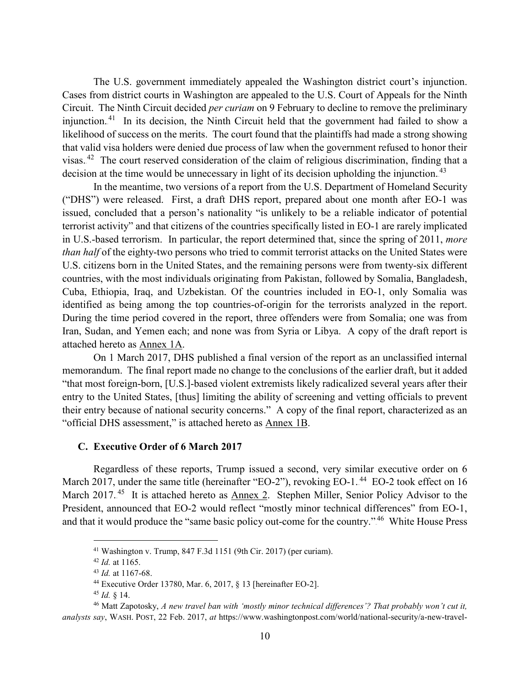The U.S. government immediately appealed the Washington district court's injunction. Cases from district courts in Washington are appealed to the U.S. Court of Appeals for the Ninth Circuit. The Ninth Circuit decided *per curiam* on 9 February to decline to remove the preliminary injunction.<sup>41</sup> In its decision, the Ninth Circuit held that the government had failed to show a likelihood of success on the merits. The court found that the plaintiffs had made a strong showing that valid visa holders were denied due process of law when the government refused to honor their visas.<sup>42</sup> The court reserved consideration of the claim of religious discrimination, finding that a decision at the time would be unnecessary in light of its decision upholding the injunction.<sup>43</sup>

In the meantime, two versions of a report from the U.S. Department of Homeland Security ("DHS") were released. First, a draft DHS report, prepared about one month after EO-1 was issued, concluded that a person's nationality "is unlikely to be a reliable indicator of potential terrorist activity" and that citizens of the countries specifically listed in EO-1 are rarely implicated in U.S.-based terrorism. In particular, the report determined that, since the spring of 2011, *more than half* of the eighty-two persons who tried to commit terrorist attacks on the United States were U.S. citizens born in the United States, and the remaining persons were from twenty-six different countries, with the most individuals originating from Pakistan, followed by Somalia, Bangladesh, Cuba, Ethiopia, Iraq, and Uzbekistan. Of the countries included in EO-1, only Somalia was identified as being among the top countries-of-origin for the terrorists analyzed in the report. During the time period covered in the report, three offenders were from Somalia; one was from Iran, Sudan, and Yemen each; and none was from Syria or Libya. A copy of the draft report is attached hereto as Annex 1A.

On 1 March 2017, DHS published a final version of the report as an unclassified internal memorandum. The final report made no change to the conclusions of the earlier draft, but it added "that most foreign-born, [U.S.]-based violent extremists likely radicalized several years after their entry to the United States, [thus] limiting the ability of screening and vetting officials to prevent their entry because of national security concerns." A copy of the final report, characterized as an "official DHS assessment," is attached hereto as Annex 1B.

#### <span id="page-11-0"></span>**C. Executive Order of 6 March 2017**

Regardless of these reports, Trump issued a second, very similar executive order on 6 March 2017, under the same title (hereinafter "EO-2"), revoking EO-1. $^{44}$  EO-2 took effect on 16 March 2017.<sup>45</sup> It is attached hereto as Annex 2. Stephen Miller, Senior Policy Advisor to the President, announced that EO-2 would reflect "mostly minor technical differences" from EO-1, and that it would produce the "same basic policy out-come for the country."<sup>46</sup> White House Press

 <sup>41</sup> Washington v. Trump, 847 F.3d 1151 (9th Cir. 2017) (per curiam).

<sup>42</sup> *Id.* at 1165.

<sup>43</sup> *Id.* at 1167-68.

<sup>44</sup> Executive Order 13780, Mar. 6, 2017, § 13 [hereinafter EO-2].

<sup>45</sup> *Id.* § 14.

<sup>46</sup> Matt Zapotosky, *A new travel ban with 'mostly minor technical differences'? That probably won't cut it, analysts say*, WASH. POST, 22 Feb. 2017, *at* https://www.washingtonpost.com/world/national-security/a-new-travel-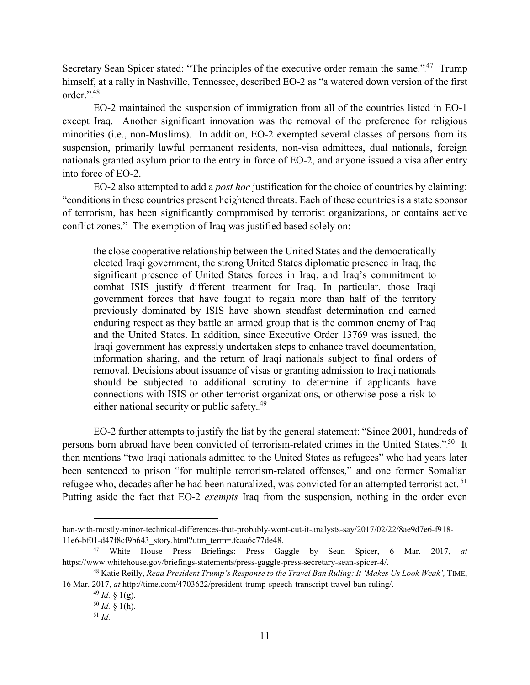Secretary Sean Spicer stated: "The principles of the executive order remain the same."<sup>47</sup> Trump himself, at a rally in Nashville, Tennessee, described EO-2 as "a watered down version of the first order.".<sup>48</sup>

EO-2 maintained the suspension of immigration from all of the countries listed in EO-1 except Iraq. Another significant innovation was the removal of the preference for religious minorities (i.e., non-Muslims). In addition, EO-2 exempted several classes of persons from its suspension, primarily lawful permanent residents, non-visa admittees, dual nationals, foreign nationals granted asylum prior to the entry in force of EO-2, and anyone issued a visa after entry into force of EO-2.

EO-2 also attempted to add a *post hoc* justification for the choice of countries by claiming: "conditions in these countries present heightened threats. Each of these countries is a state sponsor of terrorism, has been significantly compromised by terrorist organizations, or contains active conflict zones." The exemption of Iraq was justified based solely on:

the close cooperative relationship between the United States and the democratically elected Iraqi government, the strong United States diplomatic presence in Iraq, the significant presence of United States forces in Iraq, and Iraq's commitment to combat ISIS justify different treatment for Iraq. In particular, those Iraqi government forces that have fought to regain more than half of the territory previously dominated by ISIS have shown steadfast determination and earned enduring respect as they battle an armed group that is the common enemy of Iraq and the United States. In addition, since Executive Order 13769 was issued, the Iraqi government has expressly undertaken steps to enhance travel documentation, information sharing, and the return of Iraqi nationals subject to final orders of removal. Decisions about issuance of visas or granting admission to Iraqi nationals should be subjected to additional scrutiny to determine if applicants have connections with ISIS or other terrorist organizations, or otherwise pose a risk to either national security or public safety.<sup>49</sup>

EO-2 further attempts to justify the list by the general statement: "Since 2001, hundreds of persons born abroad have been convicted of terrorism-related crimes in the United States."<sup>50</sup> It then mentions "two Iraqi nationals admitted to the United States as refugees" who had years later been sentenced to prison "for multiple terrorism-related offenses," and one former Somalian refugee who, decades after he had been naturalized, was convicted for an attempted terrorist act.<sup>51</sup> Putting aside the fact that EO-2 *exempts* Iraq from the suspension, nothing in the order even

 $\overline{a}$ 

ban-with-mostly-minor-technical-differences-that-probably-wont-cut-it-analysts-say/2017/02/22/8ae9d7e6-f918- 11e6-bf01-d47f8cf9b643\_story.html?utm\_term=.fcaa6c77de48.

<sup>47</sup> White House Press Briefings: Press Gaggle by Sean Spicer, 6 Mar. 2017, *at*  https://www.whitehouse.gov/briefings-statements/press-gaggle-press-secretary-sean-spicer-4/.

<sup>48</sup> Katie Reilly, *Read President Trump's Response to the Travel Ban Ruling: It 'Makes Us Look Weak',* TIME, 16 Mar. 2017, *at* http://time.com/4703622/president-trump-speech-transcript-travel-ban-ruling/.

 $49$  *Id.* § 1(g).

 $50$  *Id.* § 1(h).

<sup>51</sup> *Id.*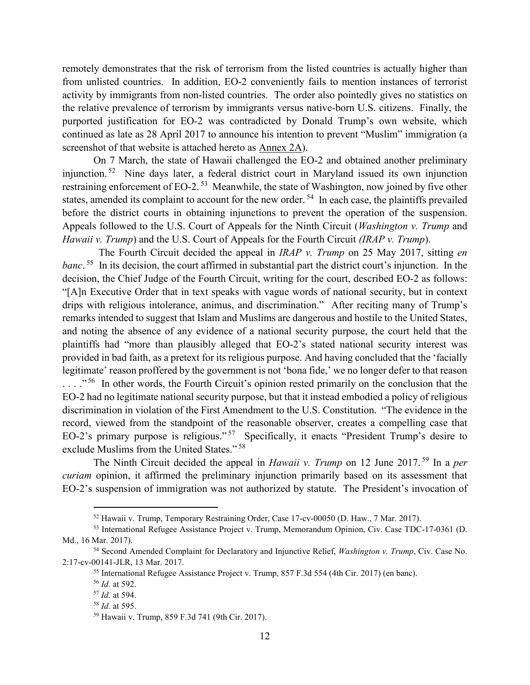remotely demonstrates that the risk of terrorism from the listed countries is actually higher than from unlisted countries. In addition, EO-2 conveniently fails to mention instances of terrorist activity by immigrants from non-listed countries. The order also pointedly gives no statistics on the relative prevalence of terrorism by immigrants versus native-born U.S. citizens. Finally, the purported justification for EO-2 was contradicted by Donald Trump's own website, which continued as late as 28 April 2017 to announce his intention to prevent "Muslim" immigration (a screenshot of that website is attached hereto as Annex 2A).

On 7 March, the state of Hawaii challenged the EO-2 and obtained another preliminary injunction.<sup>52</sup> Nine days later, a federal district court in Maryland issued its own injunction restraining enforcement of EO-2.<sup>53</sup> Meanwhile, the state of Washington, now joined by five other states, amended its complaint to account for the new order.<sup>54</sup> In each case, the plaintiffs prevailed before the district courts in obtaining injunctions to prevent the operation of the suspension. Appeals followed to the U.S. Court of Appeals for the Ninth Circuit (*Washington v. Trump* and *Hawaii v. Trump*) and the U.S. Court of Appeals for the Fourth Circuit *(IRAP v. Trump*).

The Fourth Circuit decided the appeal in *IRAP v. Trump* on 25 May 2017, sitting *en* banc.<sup>55</sup> In its decision, the court affirmed in substantial part the district court's injunction. In the decision, the Chief Judge of the Fourth Circuit, writing for the court, described EO-2 as follows: "[A]n Executive Order that in text speaks with vague words of national security, but in context drips with religious intolerance, animus, and discrimination." After reciting many of Trump's remarks intended to suggest that Islam and Muslims are dangerous and hostile to the United States, and noting the absence of any evidence of a national security purpose, the court held that the plaintiffs had "more than plausibly alleged that EO-2's stated national security interest was provided in bad faith, as a pretext for its religious purpose. And having concluded that the 'facially legitimate' reason proffered by the government is not 'bona fide,' we no longer defer to that reason  $\ldots$ ."<sup>56</sup> In other words, the Fourth Circuit's opinion rested primarily on the conclusion that the EO-2 had no legitimate national security purpose, but that it instead embodied a policy of religious discrimination in violation of the First Amendment to the U.S. Constitution. "The evidence in the record, viewed from the standpoint of the reasonable observer, creates a compelling case that EO-2's primary purpose is religious."<sup>57</sup> Specifically, it enacts "President Trump's desire to exclude Muslims from the United States.".<sup>58</sup>

The Ninth Circuit decided the appeal in *Hawaii v. Trump* on 12 June 2017.<sup>59</sup> In a *per curiam* opinion, it affirmed the preliminary injunction primarily based on its assessment that EO-2's suspension of immigration was not authorized by statute. The President's invocation of

 <sup>52</sup> Hawaii v. Trump, Temporary Restraining Order, Case 17-cv-00050 (D. Haw., 7 Mar. 2017).

<sup>53</sup> International Refugee Assistance Project v. Trump, Memorandum Opinion, Civ. Case TDC-17-0361 (D. Md., 16 Mar. 2017).

<sup>54</sup> Second Amended Complaint for Declaratory and Injunctive Relief, *Washington v. Trump*, Civ. Case No. 2:17-cv-00141-JLR, 13 Mar. 2017.

<sup>55</sup> International Refugee Assistance Project v. Trump, 857 F.3d 554 (4th Cir. 2017) (en banc).

<sup>56</sup> *Id.* at 592.

<sup>57</sup> *Id.* at 594.

<sup>58</sup> *Id.* at 595.

<sup>59</sup> Hawaii v. Trump, 859 F.3d 741 (9th Cir. 2017).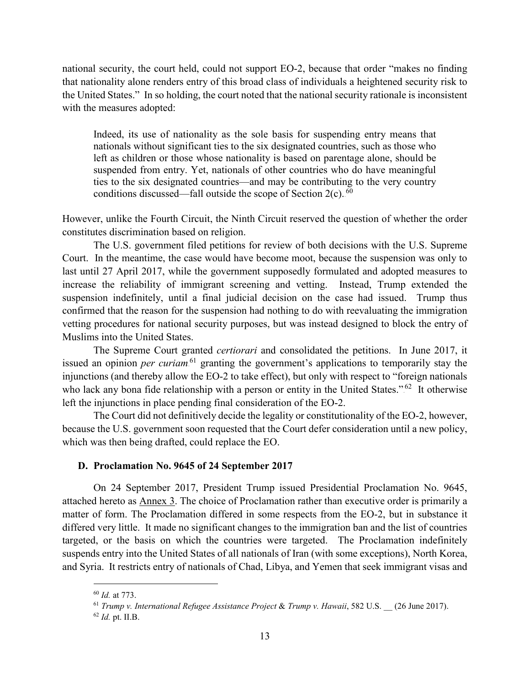national security, the court held, could not support EO-2, because that order "makes no finding that nationality alone renders entry of this broad class of individuals a heightened security risk to the United States." In so holding, the court noted that the national security rationale is inconsistent with the measures adopted:

Indeed, its use of nationality as the sole basis for suspending entry means that nationals without significant ties to the six designated countries, such as those who left as children or those whose nationality is based on parentage alone, should be suspended from entry. Yet, nationals of other countries who do have meaningful ties to the six designated countries—and may be contributing to the very country conditions discussed—fall outside the scope of Section  $2(c)$ .<sup>60</sup>

However, unlike the Fourth Circuit, the Ninth Circuit reserved the question of whether the order constitutes discrimination based on religion.

The U.S. government filed petitions for review of both decisions with the U.S. Supreme Court. In the meantime, the case would have become moot, because the suspension was only to last until 27 April 2017, while the government supposedly formulated and adopted measures to increase the reliability of immigrant screening and vetting. Instead, Trump extended the suspension indefinitely, until a final judicial decision on the case had issued. Trump thus confirmed that the reason for the suspension had nothing to do with reevaluating the immigration vetting procedures for national security purposes, but was instead designed to block the entry of Muslims into the United States.

The Supreme Court granted *certiorari* and consolidated the petitions. In June 2017, it issued an opinion *per curiam*<sup>61</sup> granting the government's applications to temporarily stay the injunctions (and thereby allow the EO-2 to take effect), but only with respect to "foreign nationals who lack any bona fide relationship with a person or entity in the United States." $62$  It otherwise left the injunctions in place pending final consideration of the EO-2.

The Court did not definitively decide the legality or constitutionality of the EO-2, however, because the U.S. government soon requested that the Court defer consideration until a new policy, which was then being drafted, could replace the EO.

## <span id="page-14-0"></span>**D. Proclamation No. 9645 of 24 September 2017**

On 24 September 2017, President Trump issued Presidential Proclamation No. 9645, attached hereto as Annex 3. The choice of Proclamation rather than executive order is primarily a matter of form. The Proclamation differed in some respects from the EO-2, but in substance it differed very little. It made no significant changes to the immigration ban and the list of countries targeted, or the basis on which the countries were targeted. The Proclamation indefinitely suspends entry into the United States of all nationals of Iran (with some exceptions), North Korea, and Syria. It restricts entry of nationals of Chad, Libya, and Yemen that seek immigrant visas and

 <sup>60</sup> *Id.* at 773.

<sup>61</sup> *Trump v. International Refugee Assistance Project* & *Trump v. Hawaii*, 582 U.S. \_\_ (26 June 2017). <sup>62</sup> *Id.* pt. II.B.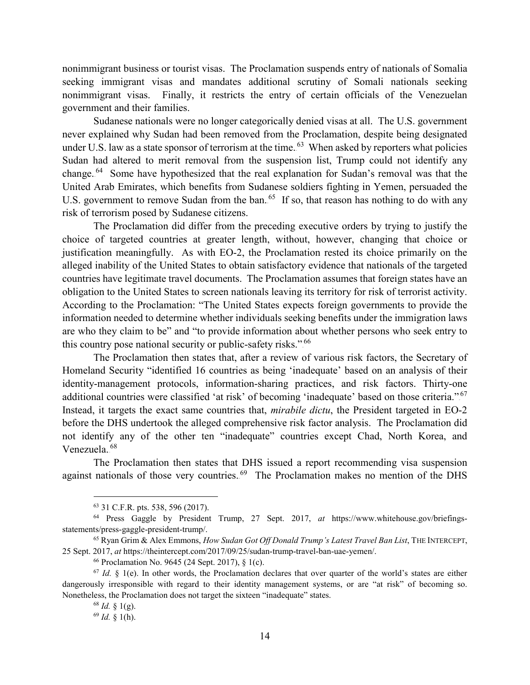nonimmigrant business or tourist visas. The Proclamation suspends entry of nationals of Somalia seeking immigrant visas and mandates additional scrutiny of Somali nationals seeking nonimmigrant visas. Finally, it restricts the entry of certain officials of the Venezuelan government and their families.

Sudanese nationals were no longer categorically denied visas at all. The U.S. government never explained why Sudan had been removed from the Proclamation, despite being designated under U.S. law as a state sponsor of terrorism at the time.<sup>63</sup> When asked by reporters what policies Sudan had altered to merit removal from the suspension list, Trump could not identify any change.<sup>64</sup> Some have hypothesized that the real explanation for Sudan's removal was that the United Arab Emirates, which benefits from Sudanese soldiers fighting in Yemen, persuaded the U.S. government to remove Sudan from the ban.<sup>65</sup> If so, that reason has nothing to do with any risk of terrorism posed by Sudanese citizens.

The Proclamation did differ from the preceding executive orders by trying to justify the choice of targeted countries at greater length, without, however, changing that choice or justification meaningfully. As with EO-2, the Proclamation rested its choice primarily on the alleged inability of the United States to obtain satisfactory evidence that nationals of the targeted countries have legitimate travel documents. The Proclamation assumes that foreign states have an obligation to the United States to screen nationals leaving its territory for risk of terrorist activity. According to the Proclamation: "The United States expects foreign governments to provide the information needed to determine whether individuals seeking benefits under the immigration laws are who they claim to be" and "to provide information about whether persons who seek entry to this country pose national security or public-safety risks." $66$ 

The Proclamation then states that, after a review of various risk factors, the Secretary of Homeland Security "identified 16 countries as being 'inadequate' based on an analysis of their identity-management protocols, information-sharing practices, and risk factors. Thirty-one additional countries were classified 'at risk' of becoming 'inadequate' based on those criteria."<sup>67</sup> Instead, it targets the exact same countries that, *mirabile dictu*, the President targeted in EO-2 before the DHS undertook the alleged comprehensive risk factor analysis. The Proclamation did not identify any of the other ten "inadequate" countries except Chad, North Korea, and Venezuela.<sup>68</sup>

The Proclamation then states that DHS issued a report recommending visa suspension against nationals of those very countries.<sup>69</sup> The Proclamation makes no mention of the DHS

 <sup>63</sup> 31 C.F.R. pts. 538, 596 (2017).

<sup>64</sup> Press Gaggle by President Trump, 27 Sept. 2017, *at* https://www.whitehouse.gov/briefingsstatements/press-gaggle-president-trump/.

<sup>65</sup> Ryan Grim & Alex Emmons, *How Sudan Got Off Donald Trump's Latest Travel Ban List*, THE INTERCEPT, 25 Sept. 2017, *at* https://theintercept.com/2017/09/25/sudan-trump-travel-ban-uae-yemen/.

<sup>66</sup> Proclamation No. 9645 (24 Sept. 2017), § 1(c).

 $67$  *Id.* § 1(e). In other words, the Proclamation declares that over quarter of the world's states are either dangerously irresponsible with regard to their identity management systems, or are "at risk" of becoming so. Nonetheless, the Proclamation does not target the sixteen "inadequate" states. <sup>68</sup> *Id.* § 1(g).

<sup>69</sup> *Id.* § 1(h).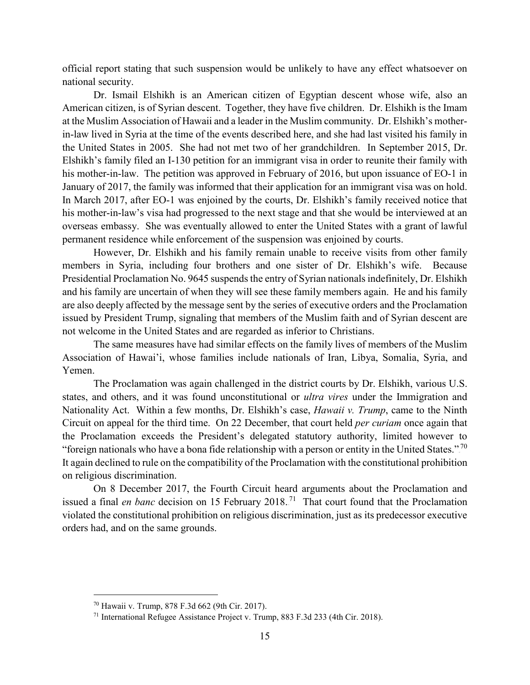official report stating that such suspension would be unlikely to have any effect whatsoever on national security.

Dr. Ismail Elshikh is an American citizen of Egyptian descent whose wife, also an American citizen, is of Syrian descent. Together, they have five children. Dr. Elshikh is the Imam at the Muslim Association of Hawaii and a leader in the Muslim community. Dr. Elshikh's motherin-law lived in Syria at the time of the events described here, and she had last visited his family in the United States in 2005. She had not met two of her grandchildren. In September 2015, Dr. Elshikh's family filed an I-130 petition for an immigrant visa in order to reunite their family with his mother-in-law. The petition was approved in February of 2016, but upon issuance of EO-1 in January of 2017, the family was informed that their application for an immigrant visa was on hold. In March 2017, after EO-1 was enjoined by the courts, Dr. Elshikh's family received notice that his mother-in-law's visa had progressed to the next stage and that she would be interviewed at an overseas embassy. She was eventually allowed to enter the United States with a grant of lawful permanent residence while enforcement of the suspension was enjoined by courts.

However, Dr. Elshikh and his family remain unable to receive visits from other family members in Syria, including four brothers and one sister of Dr. Elshikh's wife. Because Presidential Proclamation No. 9645 suspends the entry of Syrian nationals indefinitely, Dr. Elshikh and his family are uncertain of when they will see these family members again. He and his family are also deeply affected by the message sent by the series of executive orders and the Proclamation issued by President Trump, signaling that members of the Muslim faith and of Syrian descent are not welcome in the United States and are regarded as inferior to Christians.

The same measures have had similar effects on the family lives of members of the Muslim Association of Hawai'i, whose families include nationals of Iran, Libya, Somalia, Syria, and Yemen.

The Proclamation was again challenged in the district courts by Dr. Elshikh, various U.S. states, and others, and it was found unconstitutional or *ultra vires* under the Immigration and Nationality Act. Within a few months, Dr. Elshikh's case, *Hawaii v. Trump*, came to the Ninth Circuit on appeal for the third time. On 22 December, that court held *per curiam* once again that the Proclamation exceeds the President's delegated statutory authority, limited however to "foreign nationals who have a bona fide relationship with a person or entity in the United States."<sup>70</sup> It again declined to rule on the compatibility of the Proclamation with the constitutional prohibition on religious discrimination.

On 8 December 2017, the Fourth Circuit heard arguments about the Proclamation and issued a final *en banc* decision on 15 February 2018.<sup>71</sup> That court found that the Proclamation violated the constitutional prohibition on religious discrimination, just as its predecessor executive orders had, and on the same grounds.

 <sup>70</sup> Hawaii v. Trump, 878 F.3d 662 (9th Cir. 2017).

<sup>71</sup> International Refugee Assistance Project v. Trump, 883 F.3d 233 (4th Cir. 2018).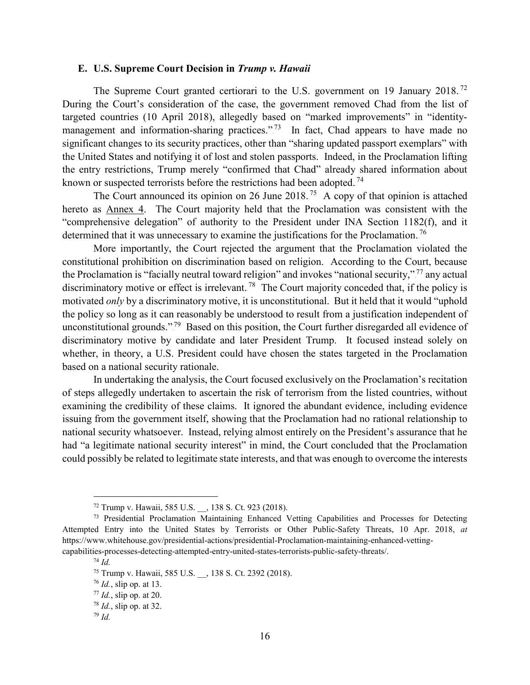#### <span id="page-17-0"></span>**E. U.S. Supreme Court Decision in** *Trump v. Hawaii*

The Supreme Court granted certiorari to the U.S. government on 19 January 2018.<sup>72</sup> During the Court's consideration of the case, the government removed Chad from the list of targeted countries (10 April 2018), allegedly based on "marked improvements" in "identitymanagement and information-sharing practices."<sup>73</sup> In fact, Chad appears to have made no significant changes to its security practices, other than "sharing updated passport exemplars" with the United States and notifying it of lost and stolen passports. Indeed, in the Proclamation lifting the entry restrictions, Trump merely "confirmed that Chad" already shared information about known or suspected terrorists before the restrictions had been adopted.<sup>74</sup>

The Court announced its opinion on 26 June 2018.<sup>75</sup> A copy of that opinion is attached hereto as Annex 4. The Court majority held that the Proclamation was consistent with the "comprehensive delegation" of authority to the President under INA Section 1182(f), and it determined that it was unnecessary to examine the justifications for the Proclamation.<sup>76</sup>

More importantly, the Court rejected the argument that the Proclamation violated the constitutional prohibition on discrimination based on religion. According to the Court, because the Proclamation is "facially neutral toward religion" and invokes "national security,"<sup>77</sup> any actual discriminatory motive or effect is irrelevant.<sup>78</sup> The Court majority conceded that, if the policy is motivated *only* by a discriminatory motive, it is unconstitutional. But it held that it would "uphold the policy so long as it can reasonably be understood to result from a justification independent of unconstitutional grounds."<sup>79</sup> Based on this position, the Court further disregarded all evidence of discriminatory motive by candidate and later President Trump. It focused instead solely on whether, in theory, a U.S. President could have chosen the states targeted in the Proclamation based on a national security rationale.

In undertaking the analysis, the Court focused exclusively on the Proclamation's recitation of steps allegedly undertaken to ascertain the risk of terrorism from the listed countries, without examining the credibility of these claims. It ignored the abundant evidence, including evidence issuing from the government itself, showing that the Proclamation had no rational relationship to national security whatsoever. Instead, relying almost entirely on the President's assurance that he had "a legitimate national security interest" in mind, the Court concluded that the Proclamation could possibly be related to legitimate state interests, and that was enough to overcome the interests

 <sup>72</sup> Trump v. Hawaii, 585 U.S. \_\_, 138 S. Ct. 923 (2018).

<sup>&</sup>lt;sup>73</sup> Presidential Proclamation Maintaining Enhanced Vetting Capabilities and Processes for Detecting Attempted Entry into the United States by Terrorists or Other Public-Safety Threats, 10 Apr. 2018, *at*  https://www.whitehouse.gov/presidential-actions/presidential-Proclamation-maintaining-enhanced-vettingcapabilities-processes-detecting-attempted-entry-united-states-terrorists-public-safety-threats/.

<sup>74</sup> *Id.*

<sup>75</sup> Trump v. Hawaii, 585 U.S. \_\_, 138 S. Ct. 2392 (2018).

<sup>76</sup> *Id.*, slip op. at 13.

<sup>77</sup> *Id.*, slip op. at 20.

<sup>78</sup> *Id.*, slip op. at 32.

<sup>79</sup> *Id.*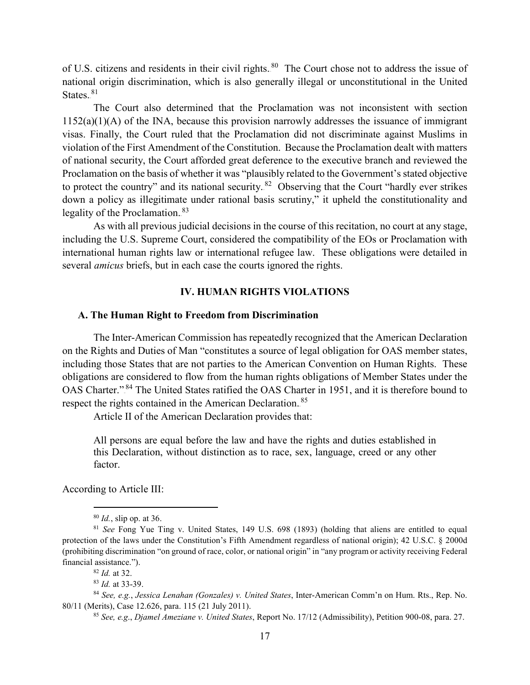of U.S. citizens and residents in their civil rights.<sup>80</sup> The Court chose not to address the issue of national origin discrimination, which is also generally illegal or unconstitutional in the United States. $81$ 

The Court also determined that the Proclamation was not inconsistent with section  $1152(a)(1)(A)$  of the INA, because this provision narrowly addresses the issuance of immigrant visas. Finally, the Court ruled that the Proclamation did not discriminate against Muslims in violation of the First Amendment of the Constitution. Because the Proclamation dealt with matters of national security, the Court afforded great deference to the executive branch and reviewed the Proclamation on the basis of whether it was "plausibly related to the Government's stated objective to protect the country" and its national security.<sup>82</sup> Observing that the Court "hardly ever strikes down a policy as illegitimate under rational basis scrutiny," it upheld the constitutionality and legality of the Proclamation.<sup>83</sup>

As with all previous judicial decisions in the course of this recitation, no court at any stage, including the U.S. Supreme Court, considered the compatibility of the EOs or Proclamation with international human rights law or international refugee law. These obligations were detailed in several *amicus* briefs, but in each case the courts ignored the rights.

### **IV. HUMAN RIGHTS VIOLATIONS**

#### <span id="page-18-1"></span><span id="page-18-0"></span>**A. The Human Right to Freedom from Discrimination**

The Inter-American Commission has repeatedly recognized that the American Declaration on the Rights and Duties of Man "constitutes a source of legal obligation for OAS member states, including those States that are not parties to the American Convention on Human Rights. These obligations are considered to flow from the human rights obligations of Member States under the OAS Charter."<sup>84</sup> The United States ratified the OAS Charter in 1951, and it is therefore bound to respect the rights contained in the American Declaration.<sup>85</sup>

Article II of the American Declaration provides that:

All persons are equal before the law and have the rights and duties established in this Declaration, without distinction as to race, sex, language, creed or any other factor.

According to Article III:

 <sup>80</sup> *Id.*, slip op. at 36.

<sup>81</sup> *See* Fong Yue Ting v. United States, 149 U.S. 698 (1893) (holding that aliens are entitled to equal protection of the laws under the Constitution's Fifth Amendment regardless of national origin); 42 U.S.C. § 2000d (prohibiting discrimination "on ground of race, color, or national origin" in "any program or activity receiving Federal financial assistance.").

<sup>82</sup> *Id.* at 32.

<sup>83</sup> *Id.* at 33-39.

<sup>84</sup> *See, e.g.*, *Jessica Lenahan (Gonzales) v. United States*, Inter-American Comm'n on Hum. Rts., Rep. No. 80/11 (Merits), Case 12.626, para. 115 (21 July 2011).

<sup>85</sup> *See, e.g*., *Djamel Ameziane v. United States*, Report No. 17/12 (Admissibility), Petition 900-08, para. 27.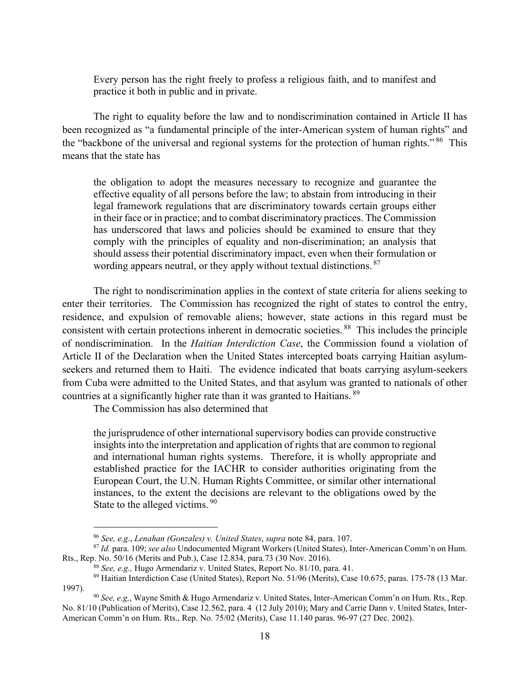Every person has the right freely to profess a religious faith, and to manifest and practice it both in public and in private.

The right to equality before the law and to nondiscrimination contained in Article II has been recognized as "a fundamental principle of the inter-American system of human rights" and the "backbone of the universal and regional systems for the protection of human rights.".<sup>86</sup> This means that the state has

the obligation to adopt the measures necessary to recognize and guarantee the effective equality of all persons before the law; to abstain from introducing in their legal framework regulations that are discriminatory towards certain groups either in their face or in practice; and to combat discriminatory practices. The Commission has underscored that laws and policies should be examined to ensure that they comply with the principles of equality and non-discrimination; an analysis that should assess their potential discriminatory impact, even when their formulation or wording appears neutral, or they apply without textual distinctions. 87

The right to nondiscrimination applies in the context of state criteria for aliens seeking to enter their territories. The Commission has recognized the right of states to control the entry, residence, and expulsion of removable aliens; however, state actions in this regard must be consistent with certain protections inherent in democratic societies.<sup>88</sup> This includes the principle of nondiscrimination. In the *Haitian Interdiction Case*, the Commission found a violation of Article II of the Declaration when the United States intercepted boats carrying Haitian asylumseekers and returned them to Haiti. The evidence indicated that boats carrying asylum-seekers from Cuba were admitted to the United States, and that asylum was granted to nationals of other countries at a significantly higher rate than it was granted to Haitians.<sup>89</sup>

The Commission has also determined that

the jurisprudence of other international supervisory bodies can provide constructive insights into the interpretation and application of rights that are common to regional and international human rights systems. Therefore, it is wholly appropriate and established practice for the IACHR to consider authorities originating from the European Court, the U.N. Human Rights Committee, or similar other international instances, to the extent the decisions are relevant to the obligations owed by the State to the alleged victims. $^{90}$ 

 <sup>86</sup> *See, e.g*., *Lenahan (Gonzales) v. United States*, *supra* note 84, para. 107.

<sup>87</sup> *Id.* para. 109; *see also* Undocumented Migrant Workers (United States), Inter-American Comm'n on Hum. Rts., Rep. No. 50/16 (Merits and Pub.), Case 12.834, para.73 (30 Nov. 2016).

<sup>88</sup> *See, e.g.,* Hugo Armendariz v. United States, Report No. 81/10, para. 41.

<sup>89</sup> Haitian Interdiction Case (United States), Report No. 51/96 (Merits), Case 10.675, paras. 175-78 (13 Mar. 1997).

<sup>90</sup> *See, e.g,*, Wayne Smith & Hugo Armendariz v. United States, Inter-American Comm'n on Hum. Rts., Rep. No. 81/10 (Publication of Merits), Case 12.562, para. 4 (12 July 2010); Mary and Carrie Dann v. United States, Inter-American Comm'n on Hum. Rts., Rep. No. 75/02 (Merits), Case 11.140 paras. 96-97 (27 Dec. 2002).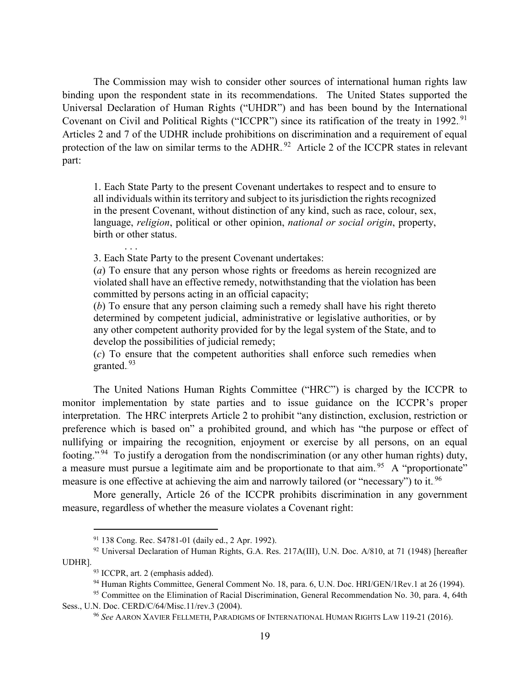The Commission may wish to consider other sources of international human rights law binding upon the respondent state in its recommendations. The United States supported the Universal Declaration of Human Rights ("UHDR") and has been bound by the International Covenant on Civil and Political Rights ("ICCPR") since its ratification of the treaty in 1992.<sup>91</sup> Articles 2 and 7 of the UDHR include prohibitions on discrimination and a requirement of equal protection of the law on similar terms to the ADHR.<sup>92</sup> Article 2 of the ICCPR states in relevant part:

1. Each State Party to the present Covenant undertakes to respect and to ensure to all individuals within its territory and subject to its jurisdiction the rights recognized in the present Covenant, without distinction of any kind, such as race, colour, sex, language, *religion*, political or other opinion, *national or social origin*, property, birth or other status.

3. Each State Party to the present Covenant undertakes:

. . .

(*a*) To ensure that any person whose rights or freedoms as herein recognized are violated shall have an effective remedy, notwithstanding that the violation has been committed by persons acting in an official capacity;

(*b*) To ensure that any person claiming such a remedy shall have his right thereto determined by competent judicial, administrative or legislative authorities, or by any other competent authority provided for by the legal system of the State, and to develop the possibilities of judicial remedy;

(*c*) To ensure that the competent authorities shall enforce such remedies when granted.<sup>93</sup>

The United Nations Human Rights Committee ("HRC") is charged by the ICCPR to monitor implementation by state parties and to issue guidance on the ICCPR's proper interpretation. The HRC interprets Article 2 to prohibit "any distinction, exclusion, restriction or preference which is based on" a prohibited ground, and which has "the purpose or effect of nullifying or impairing the recognition, enjoyment or exercise by all persons, on an equal footing."<sup>94</sup> To justify a derogation from the nondiscrimination (or any other human rights) duty, a measure must pursue a legitimate aim and be proportionate to that aim.<sup>95</sup> A "proportionate" measure is one effective at achieving the aim and narrowly tailored (or "necessary") to it.<sup>96</sup>

More generally, Article 26 of the ICCPR prohibits discrimination in any government measure, regardless of whether the measure violates a Covenant right:

 <sup>91</sup> 138 Cong. Rec. S4781-01 (daily ed., 2 Apr. 1992).

<sup>92</sup> Universal Declaration of Human Rights, G.A. Res. 217A(III), U.N. Doc. A/810, at 71 (1948) [hereafter UDHR].

<sup>93</sup> ICCPR, art. 2 (emphasis added).

<sup>94</sup> Human Rights Committee, General Comment No. 18, para. 6, U.N. Doc. HRI/GEN/1Rev.1 at 26 (1994).

<sup>95</sup> Committee on the Elimination of Racial Discrimination, General Recommendation No. 30, para. 4, 64th Sess., U.N. Doc. CERD/C/64/Misc.11/rev.3 (2004).

<sup>96</sup> *See* AARON XAVIER FELLMETH, PARADIGMS OF INTERNATIONAL HUMAN RIGHTS LAW 119-21 (2016).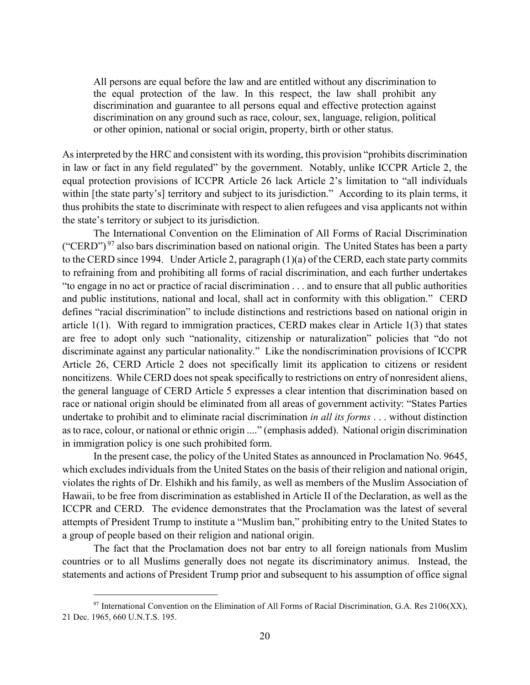All persons are equal before the law and are entitled without any discrimination to the equal protection of the law. In this respect, the law shall prohibit any discrimination and guarantee to all persons equal and effective protection against discrimination on any ground such as race, colour, sex, language, religion, political or other opinion, national or social origin, property, birth or other status.

As interpreted by the HRC and consistent with its wording, this provision "prohibits discrimination in law or fact in any field regulated" by the government. Notably, unlike ICCPR Article 2, the equal protection provisions of ICCPR Article 26 lack Article 2's limitation to "all individuals within [the state party's] territory and subject to its jurisdiction." According to its plain terms, it thus prohibits the state to discriminate with respect to alien refugees and visa applicants not within the state's territory or subject to its jurisdiction.

The International Convention on the Elimination of All Forms of Racial Discrimination ("CERD").<sup>97</sup> also bars discrimination based on national origin. The United States has been a party to the CERD since 1994. Under Article 2, paragraph (1)(a) of the CERD, each state party commits to refraining from and prohibiting all forms of racial discrimination, and each further undertakes "to engage in no act or practice of racial discrimination . . . and to ensure that all public authorities and public institutions, national and local, shall act in conformity with this obligation." CERD defines "racial discrimination" to include distinctions and restrictions based on national origin in article 1(1). With regard to immigration practices, CERD makes clear in Article 1(3) that states are free to adopt only such "nationality, citizenship or naturalization" policies that "do not discriminate against any particular nationality." Like the nondiscrimination provisions of ICCPR Article 26, CERD Article 2 does not specifically limit its application to citizens or resident noncitizens. While CERD does not speak specifically to restrictions on entry of nonresident aliens, the general language of CERD Article 5 expresses a clear intention that discrimination based on race or national origin should be eliminated from all areas of government activity: "States Parties undertake to prohibit and to eliminate racial discrimination *in all its forms* . . . without distinction as to race, colour, or national or ethnic origin ...." (emphasis added). National origin discrimination in immigration policy is one such prohibited form.

In the present case, the policy of the United States as announced in Proclamation No. 9645, which excludes individuals from the United States on the basis of their religion and national origin, violates the rights of Dr. Elshikh and his family, as well as members of the Muslim Association of Hawaii, to be free from discrimination as established in Article II of the Declaration, as well as the ICCPR and CERD. The evidence demonstrates that the Proclamation was the latest of several attempts of President Trump to institute a "Muslim ban," prohibiting entry to the United States to a group of people based on their religion and national origin.

The fact that the Proclamation does not bar entry to all foreign nationals from Muslim countries or to all Muslims generally does not negate its discriminatory animus. Instead, the statements and actions of President Trump prior and subsequent to his assumption of office signal

 $97$  International Convention on the Elimination of All Forms of Racial Discrimination, G.A. Res 2106(XX), 21 Dec. 1965, 660 U.N.T.S. 195.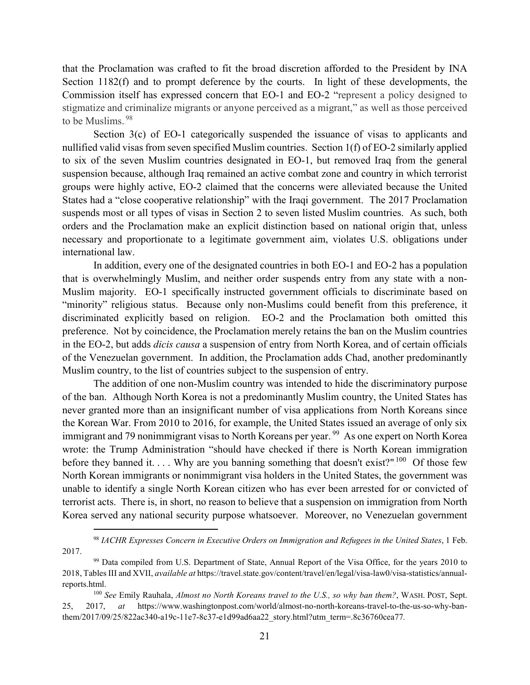that the Proclamation was crafted to fit the broad discretion afforded to the President by INA Section 1182(f) and to prompt deference by the courts. In light of these developments, the Commission itself has expressed concern that EO-1 and EO-2 "represent a policy designed to stigmatize and criminalize migrants or anyone perceived as a migrant," as well as those perceived to be Muslims.<sup>98</sup>

Section 3(c) of EO-1 categorically suspended the issuance of visas to applicants and nullified valid visas from seven specified Muslim countries. Section 1(f) of EO-2 similarly applied to six of the seven Muslim countries designated in EO-1, but removed Iraq from the general suspension because, although Iraq remained an active combat zone and country in which terrorist groups were highly active, EO-2 claimed that the concerns were alleviated because the United States had a "close cooperative relationship" with the Iraqi government. The 2017 Proclamation suspends most or all types of visas in Section 2 to seven listed Muslim countries. As such, both orders and the Proclamation make an explicit distinction based on national origin that, unless necessary and proportionate to a legitimate government aim, violates U.S. obligations under international law.

In addition, every one of the designated countries in both EO-1 and EO-2 has a population that is overwhelmingly Muslim, and neither order suspends entry from any state with a non-Muslim majority. EO-1 specifically instructed government officials to discriminate based on "minority" religious status. Because only non-Muslims could benefit from this preference, it discriminated explicitly based on religion. EO-2 and the Proclamation both omitted this preference. Not by coincidence, the Proclamation merely retains the ban on the Muslim countries in the EO-2, but adds *dicis causa* a suspension of entry from North Korea, and of certain officials of the Venezuelan government. In addition, the Proclamation adds Chad, another predominantly Muslim country, to the list of countries subject to the suspension of entry.

The addition of one non-Muslim country was intended to hide the discriminatory purpose of the ban. Although North Korea is not a predominantly Muslim country, the United States has never granted more than an insignificant number of visa applications from North Koreans since the Korean War. From 2010 to 2016, for example, the United States issued an average of only six immigrant and 79 nonimmigrant visas to North Koreans per year.<sup>99</sup> As one expert on North Korea wrote: the Trump Administration "should have checked if there is North Korean immigration before they banned it.... Why are you banning something that doesn't exist?".<sup>100</sup> Of those few North Korean immigrants or nonimmigrant visa holders in the United States, the government was unable to identify a single North Korean citizen who has ever been arrested for or convicted of terrorist acts. There is, in short, no reason to believe that a suspension on immigration from North Korea served any national security purpose whatsoever. Moreover, no Venezuelan government

 <sup>98</sup> *IACHR Expresses Concern in Executive Orders on Immigration and Refugees in the United States*, 1 Feb. 2017.

<sup>99</sup> Data compiled from U.S. Department of State, Annual Report of the Visa Office, for the years 2010 to 2018, Tables III and XVII, *available at* https://travel.state.gov/content/travel/en/legal/visa-law0/visa-statistics/annualreports.html.

<sup>100</sup> *See* Emily Rauhala, *Almost no North Koreans travel to the U.S., so why ban them?*, WASH. POST, Sept. 25, 2017, *at* https://www.washingtonpost.com/world/almost-no-north-koreans-travel-to-the-us-so-why-banthem/2017/09/25/822ac340-a19c-11e7-8c37-e1d99ad6aa22\_story.html?utm\_term=.8c36760cea77*.*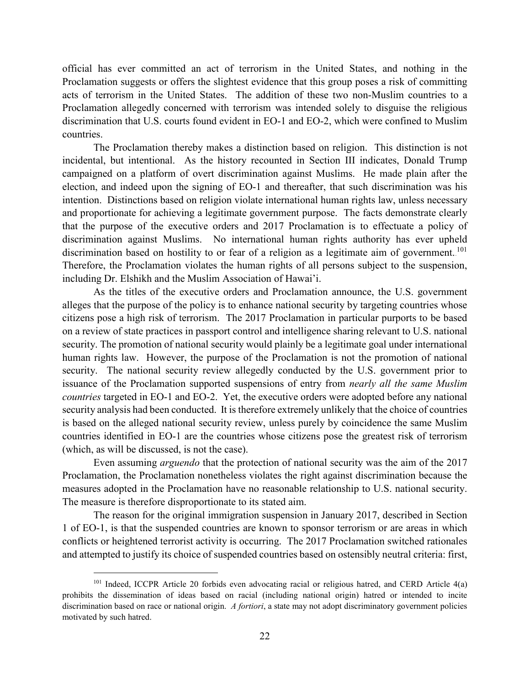official has ever committed an act of terrorism in the United States, and nothing in the Proclamation suggests or offers the slightest evidence that this group poses a risk of committing acts of terrorism in the United States. The addition of these two non-Muslim countries to a Proclamation allegedly concerned with terrorism was intended solely to disguise the religious discrimination that U.S. courts found evident in EO-1 and EO-2, which were confined to Muslim countries.

The Proclamation thereby makes a distinction based on religion. This distinction is not incidental, but intentional. As the history recounted in Section III indicates, Donald Trump campaigned on a platform of overt discrimination against Muslims. He made plain after the election, and indeed upon the signing of EO-1 and thereafter, that such discrimination was his intention. Distinctions based on religion violate international human rights law, unless necessary and proportionate for achieving a legitimate government purpose. The facts demonstrate clearly that the purpose of the executive orders and 2017 Proclamation is to effectuate a policy of discrimination against Muslims. No international human rights authority has ever upheld discrimination based on hostility to or fear of a religion as a legitimate aim of government.<sup>101</sup> Therefore, the Proclamation violates the human rights of all persons subject to the suspension, including Dr. Elshikh and the Muslim Association of Hawai'i.

As the titles of the executive orders and Proclamation announce, the U.S. government alleges that the purpose of the policy is to enhance national security by targeting countries whose citizens pose a high risk of terrorism. The 2017 Proclamation in particular purports to be based on a review of state practices in passport control and intelligence sharing relevant to U.S. national security. The promotion of national security would plainly be a legitimate goal under international human rights law. However, the purpose of the Proclamation is not the promotion of national security. The national security review allegedly conducted by the U.S. government prior to issuance of the Proclamation supported suspensions of entry from *nearly all the same Muslim countries* targeted in EO-1 and EO-2. Yet, the executive orders were adopted before any national security analysis had been conducted. It is therefore extremely unlikely that the choice of countries is based on the alleged national security review, unless purely by coincidence the same Muslim countries identified in EO-1 are the countries whose citizens pose the greatest risk of terrorism (which, as will be discussed, is not the case).

Even assuming *arguendo* that the protection of national security was the aim of the 2017 Proclamation, the Proclamation nonetheless violates the right against discrimination because the measures adopted in the Proclamation have no reasonable relationship to U.S. national security. The measure is therefore disproportionate to its stated aim.

The reason for the original immigration suspension in January 2017, described in Section 1 of EO-1, is that the suspended countries are known to sponsor terrorism or are areas in which conflicts or heightened terrorist activity is occurring. The 2017 Proclamation switched rationales and attempted to justify its choice of suspended countries based on ostensibly neutral criteria: first,

 <sup>101</sup> Indeed, ICCPR Article 20 forbids even advocating racial or religious hatred, and CERD Article 4(a) prohibits the dissemination of ideas based on racial (including national origin) hatred or intended to incite discrimination based on race or national origin. *A fortiori*, a state may not adopt discriminatory government policies motivated by such hatred.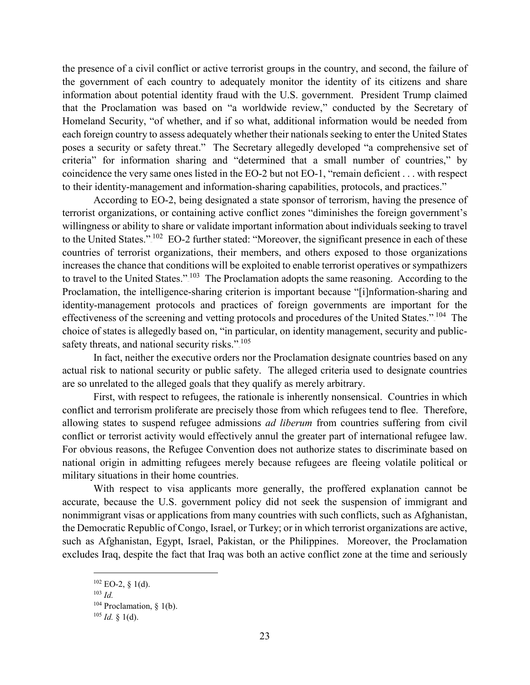the presence of a civil conflict or active terrorist groups in the country, and second, the failure of the government of each country to adequately monitor the identity of its citizens and share information about potential identity fraud with the U.S. government. President Trump claimed that the Proclamation was based on "a worldwide review," conducted by the Secretary of Homeland Security, "of whether, and if so what, additional information would be needed from each foreign country to assess adequately whether their nationals seeking to enter the United States poses a security or safety threat." The Secretary allegedly developed "a comprehensive set of criteria" for information sharing and "determined that a small number of countries," by coincidence the very same ones listed in the EO-2 but not EO-1, "remain deficient . . . with respect to their identity-management and information-sharing capabilities, protocols, and practices."

According to EO-2, being designated a state sponsor of terrorism, having the presence of terrorist organizations, or containing active conflict zones "diminishes the foreign government's willingness or ability to share or validate important information about individuals seeking to travel to the United States." $^{102}$  EO-2 further stated: "Moreover, the significant presence in each of these countries of terrorist organizations, their members, and others exposed to those organizations increases the chance that conditions will be exploited to enable terrorist operatives or sympathizers to travel to the United States.".<sup>103</sup> The Proclamation adopts the same reasoning. According to the Proclamation, the intelligence-sharing criterion is important because "[i]nformation-sharing and identity-management protocols and practices of foreign governments are important for the effectiveness of the screening and vetting protocols and procedures of the United States."<sup>104</sup> The choice of states is allegedly based on, "in particular, on identity management, security and publicsafety threats, and national security risks.".<sup>105</sup>

In fact, neither the executive orders nor the Proclamation designate countries based on any actual risk to national security or public safety. The alleged criteria used to designate countries are so unrelated to the alleged goals that they qualify as merely arbitrary.

First, with respect to refugees, the rationale is inherently nonsensical. Countries in which conflict and terrorism proliferate are precisely those from which refugees tend to flee. Therefore, allowing states to suspend refugee admissions *ad liberum* from countries suffering from civil conflict or terrorist activity would effectively annul the greater part of international refugee law. For obvious reasons, the Refugee Convention does not authorize states to discriminate based on national origin in admitting refugees merely because refugees are fleeing volatile political or military situations in their home countries.

With respect to visa applicants more generally, the proffered explanation cannot be accurate, because the U.S. government policy did not seek the suspension of immigrant and nonimmigrant visas or applications from many countries with such conflicts, such as Afghanistan, the Democratic Republic of Congo, Israel, or Turkey; or in which terrorist organizations are active, such as Afghanistan, Egypt, Israel, Pakistan, or the Philippines. Moreover, the Proclamation excludes Iraq, despite the fact that Iraq was both an active conflict zone at the time and seriously

 $102$  EO-2, § 1(d).

<sup>103</sup> *Id.*

 $104$  Proclamation, § 1(b).

<sup>105</sup> *Id.* § 1(d).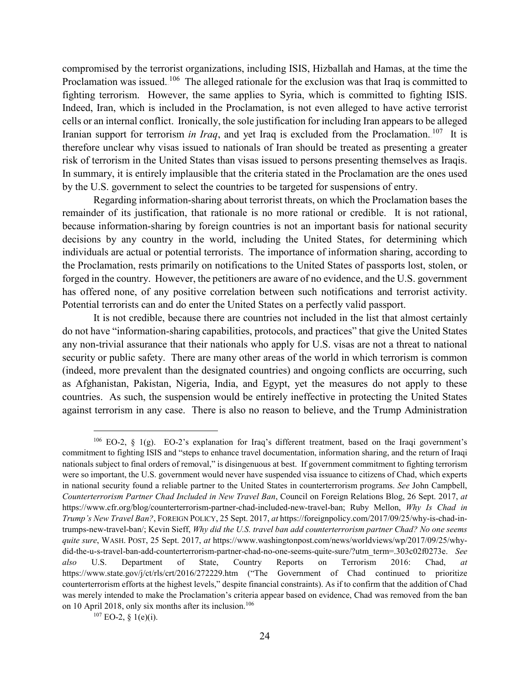compromised by the terrorist organizations, including ISIS, Hizballah and Hamas, at the time the Proclamation was issued. <sup>106</sup> The alleged rationale for the exclusion was that Iraq is committed to fighting terrorism. However, the same applies to Syria, which is committed to fighting ISIS. Indeed, Iran, which is included in the Proclamation, is not even alleged to have active terrorist cells or an internal conflict. Ironically, the sole justification for including Iran appears to be alleged Iranian support for terrorism *in Iraq*, and yet Iraq is excluded from the Proclamation.<sup>107</sup> It is therefore unclear why visas issued to nationals of Iran should be treated as presenting a greater risk of terrorism in the United States than visas issued to persons presenting themselves as Iraqis. In summary, it is entirely implausible that the criteria stated in the Proclamation are the ones used by the U.S. government to select the countries to be targeted for suspensions of entry.

Regarding information-sharing about terrorist threats, on which the Proclamation bases the remainder of its justification, that rationale is no more rational or credible. It is not rational, because information-sharing by foreign countries is not an important basis for national security decisions by any country in the world, including the United States, for determining which individuals are actual or potential terrorists. The importance of information sharing, according to the Proclamation, rests primarily on notifications to the United States of passports lost, stolen, or forged in the country. However, the petitioners are aware of no evidence, and the U.S. government has offered none, of any positive correlation between such notifications and terrorist activity. Potential terrorists can and do enter the United States on a perfectly valid passport.

It is not credible, because there are countries not included in the list that almost certainly do not have "information-sharing capabilities, protocols, and practices" that give the United States any non-trivial assurance that their nationals who apply for U.S. visas are not a threat to national security or public safety. There are many other areas of the world in which terrorism is common (indeed, more prevalent than the designated countries) and ongoing conflicts are occurring, such as Afghanistan, Pakistan, Nigeria, India, and Egypt, yet the measures do not apply to these countries. As such, the suspension would be entirely ineffective in protecting the United States against terrorism in any case. There is also no reason to believe, and the Trump Administration

 <sup>106</sup> EO-2, § 1(g). EO-2's explanation for Iraq's different treatment, based on the Iraqi government's commitment to fighting ISIS and "steps to enhance travel documentation, information sharing, and the return of Iraqi nationals subject to final orders of removal," is disingenuous at best. If government commitment to fighting terrorism were so important, the U.S. government would never have suspended visa issuance to citizens of Chad, which experts in national security found a reliable partner to the United States in counterterrorism programs. *See* John Campbell, *Counterterrorism Partner Chad Included in New Travel Ban*, Council on Foreign Relations Blog, 26 Sept. 2017, *at*  https://www.cfr.org/blog/counterterrorism-partner-chad-included-new-travel-ban; Ruby Mellon, *Why Is Chad in Trump's New Travel Ban?*, FOREIGN POLICY, 25 Sept. 2017, *at* https://foreignpolicy.com/2017/09/25/why-is-chad-intrumps-new-travel-ban/; Kevin Sieff, *Why did the U.S. travel ban add counterterrorism partner Chad? No one seems quite sure*, WASH. POST, 25 Sept. 2017, *at* https://www.washingtonpost.com/news/worldviews/wp/2017/09/25/whydid-the-u-s-travel-ban-add-counterterrorism-partner-chad-no-one-seems-quite-sure/?utm\_term=.303c02f0273e. *See also* U.S. Department of State, Country Reports on Terrorism 2016: Chad, *at* https://www.state.gov/j/ct/rls/crt/2016/272229.htm ("The Government of Chad continued to prioritize counterterrorism efforts at the highest levels," despite financial constraints). As if to confirm that the addition of Chad was merely intended to make the Proclamation's criteria appear based on evidence, Chad was removed from the ban on 10 April 2018, only six months after its inclusion.<sup>106</sup>

 $107$  EO-2, § 1(e)(i).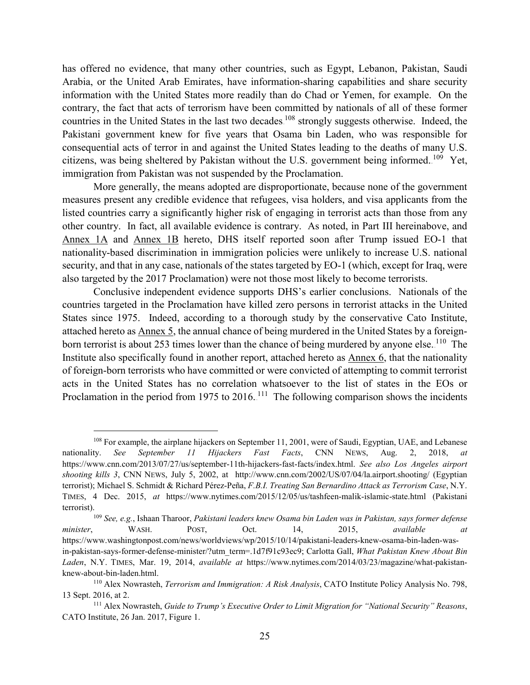has offered no evidence, that many other countries, such as Egypt, Lebanon, Pakistan, Saudi Arabia, or the United Arab Emirates, have information-sharing capabilities and share security information with the United States more readily than do Chad or Yemen, for example. On the contrary, the fact that acts of terrorism have been committed by nationals of all of these former countries in the United States in the last two decades.<sup>108</sup> strongly suggests otherwise. Indeed, the Pakistani government knew for five years that Osama bin Laden, who was responsible for consequential acts of terror in and against the United States leading to the deaths of many U.S. citizens, was being sheltered by Pakistan without the U.S. government being informed.<sup>109</sup> Yet, immigration from Pakistan was not suspended by the Proclamation.

More generally, the means adopted are disproportionate, because none of the government measures present any credible evidence that refugees, visa holders, and visa applicants from the listed countries carry a significantly higher risk of engaging in terrorist acts than those from any other country. In fact, all available evidence is contrary. As noted, in Part III hereinabove, and Annex 1A and Annex 1B hereto, DHS itself reported soon after Trump issued EO-1 that nationality-based discrimination in immigration policies were unlikely to increase U.S. national security, and that in any case, nationals of the states targeted by EO-1 (which, except for Iraq, were also targeted by the 2017 Proclamation) were not those most likely to become terrorists.

Conclusive independent evidence supports DHS's earlier conclusions. Nationals of the countries targeted in the Proclamation have killed zero persons in terrorist attacks in the United States since 1975. Indeed, according to a thorough study by the conservative Cato Institute, attached hereto as Annex 5, the annual chance of being murdered in the United States by a foreignborn terrorist is about 253 times lower than the chance of being murdered by anyone else.<sup>110</sup> The Institute also specifically found in another report, attached hereto as Annex 6, that the nationality of foreign-born terrorists who have committed or were convicted of attempting to commit terrorist acts in the United States has no correlation whatsoever to the list of states in the EOs or Proclamation in the period from 1975 to 2016.<sup>111</sup> The following comparison shows the incidents

<sup>&</sup>lt;sup>108</sup> For example, the airplane hijackers on September 11, 2001, were of Saudi, Egyptian, UAE, and Lebanese nationality. *See September 11 Hijackers Fast Facts*, CNN NEWS, Aug. 2, 2018, *at*  https://www.cnn.com/2013/07/27/us/september-11th-hijackers-fast-facts/index.html. *See also Los Angeles airport shooting kills 3*, CNN NEWS, July 5, 2002, at http://www.cnn.com/2002/US/07/04/la.airport.shooting/ (Egyptian terrorist); Michael S. Schmidt & Richard Pérez-Peña, *F.B.I. Treating San Bernardino Attack as Terrorism Case*, N.Y. TIMES, 4 Dec. 2015, *at* https://www.nytimes.com/2015/12/05/us/tashfeen-malik-islamic-state.html (Pakistani terrorist).109 *See, e.g.*, Ishaan Tharoor, *Pakistani leaders knew Osama bin Laden was in Pakistan, says former defense* 

*minister*, WASH. POST, Oct. 14, 2015, *available at*  https://www.washingtonpost.com/news/worldviews/wp/2015/10/14/pakistani-leaders-knew-osama-bin-laden-wasin-pakistan-says-former-defense-minister/?utm\_term=.1d7f91c93ec9; Carlotta Gall, *What Pakistan Knew About Bin Laden*, N.Y. TIMES, Mar. 19, 2014, *available at* https://www.nytimes.com/2014/03/23/magazine/what-pakistanknew-about-bin-laden.html.

<sup>110</sup> Alex Nowrasteh, *Terrorism and Immigration: A Risk Analysis*, CATO Institute Policy Analysis No. 798, 13 Sept. 2016, at 2.

<sup>111</sup> Alex Nowrasteh, *Guide to Trump's Executive Order to Limit Migration for "National Security" Reasons*, CATO Institute, 26 Jan. 2017, Figure 1.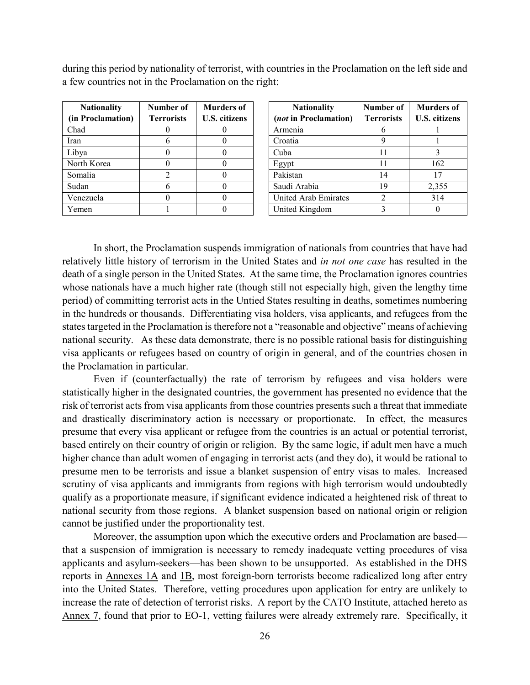during this period by nationality of terrorist, with countries in the Proclamation on the left side and a few countries not in the Proclamation on the right:

| <b>Nationality</b> | Number of         | <b>Murders of</b>    |
|--------------------|-------------------|----------------------|
| (in Proclamation)  | <b>Terrorists</b> | <b>U.S. citizens</b> |
| Chad               |                   |                      |
| Iran               |                   |                      |
| Libya              |                   |                      |
| North Korea        |                   |                      |
| Somalia            |                   |                      |
| Sudan              |                   |                      |
| Venezuela          |                   |                      |
| Yemen              |                   |                      |

| <b>Nationality</b><br><i>(not in Proclamation)</i> | Number of<br><b>Terrorists</b> | <b>Murders of</b><br><b>U.S. citizens</b> |
|----------------------------------------------------|--------------------------------|-------------------------------------------|
| Armenia                                            | 6                              |                                           |
| Croatia                                            | 9                              |                                           |
| Cuba                                               | 11                             | 3                                         |
| Egypt                                              | 11                             | 162                                       |
| Pakistan                                           | 14                             | 17                                        |
| Saudi Arabia                                       | 19                             | 2,355                                     |
| United Arab Emirates                               | $\mathcal{D}_{\mathcal{L}}$    | 314                                       |
| United Kingdom                                     |                                |                                           |

In short, the Proclamation suspends immigration of nationals from countries that have had relatively little history of terrorism in the United States and *in not one case* has resulted in the death of a single person in the United States. At the same time, the Proclamation ignores countries whose nationals have a much higher rate (though still not especially high, given the lengthy time period) of committing terrorist acts in the Untied States resulting in deaths, sometimes numbering in the hundreds or thousands. Differentiating visa holders, visa applicants, and refugees from the states targeted in the Proclamation is therefore not a "reasonable and objective" means of achieving national security. As these data demonstrate, there is no possible rational basis for distinguishing visa applicants or refugees based on country of origin in general, and of the countries chosen in the Proclamation in particular.

Even if (counterfactually) the rate of terrorism by refugees and visa holders were statistically higher in the designated countries, the government has presented no evidence that the risk of terrorist acts from visa applicants from those countries presents such a threat that immediate and drastically discriminatory action is necessary or proportionate. In effect, the measures presume that every visa applicant or refugee from the countries is an actual or potential terrorist, based entirely on their country of origin or religion. By the same logic, if adult men have a much higher chance than adult women of engaging in terrorist acts (and they do), it would be rational to presume men to be terrorists and issue a blanket suspension of entry visas to males. Increased scrutiny of visa applicants and immigrants from regions with high terrorism would undoubtedly qualify as a proportionate measure, if significant evidence indicated a heightened risk of threat to national security from those regions. A blanket suspension based on national origin or religion cannot be justified under the proportionality test.

Moreover, the assumption upon which the executive orders and Proclamation are based that a suspension of immigration is necessary to remedy inadequate vetting procedures of visa applicants and asylum-seekers—has been shown to be unsupported. As established in the DHS reports in Annexes 1A and 1B, most foreign-born terrorists become radicalized long after entry into the United States. Therefore, vetting procedures upon application for entry are unlikely to increase the rate of detection of terrorist risks. A report by the CATO Institute, attached hereto as Annex 7, found that prior to EO-1, vetting failures were already extremely rare. Specifically, it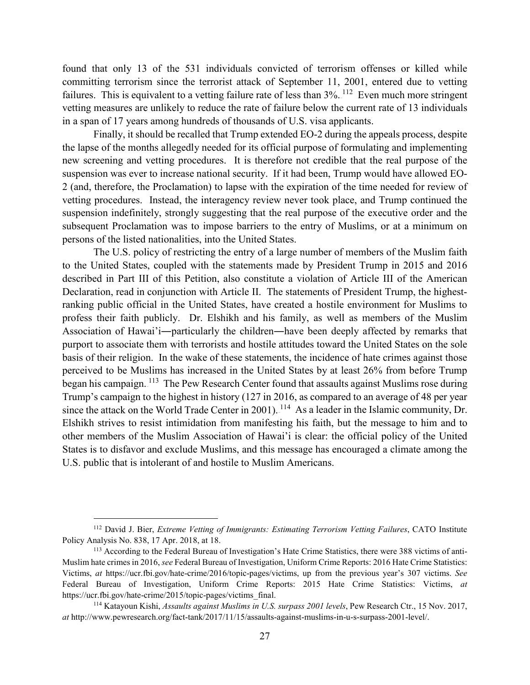found that only 13 of the 531 individuals convicted of terrorism offenses or killed while committing terrorism since the terrorist attack of September 11, 2001, entered due to vetting failures. This is equivalent to a vetting failure rate of less than  $3\%$ .  $^{112}$  Even much more stringent vetting measures are unlikely to reduce the rate of failure below the current rate of 13 individuals in a span of 17 years among hundreds of thousands of U.S. visa applicants.

Finally, it should be recalled that Trump extended EO-2 during the appeals process, despite the lapse of the months allegedly needed for its official purpose of formulating and implementing new screening and vetting procedures. It is therefore not credible that the real purpose of the suspension was ever to increase national security. If it had been, Trump would have allowed EO-2 (and, therefore, the Proclamation) to lapse with the expiration of the time needed for review of vetting procedures. Instead, the interagency review never took place, and Trump continued the suspension indefinitely, strongly suggesting that the real purpose of the executive order and the subsequent Proclamation was to impose barriers to the entry of Muslims, or at a minimum on persons of the listed nationalities, into the United States.

The U.S. policy of restricting the entry of a large number of members of the Muslim faith to the United States, coupled with the statements made by President Trump in 2015 and 2016 described in Part III of this Petition, also constitute a violation of Article III of the American Declaration, read in conjunction with Article II. The statements of President Trump, the highestranking public official in the United States, have created a hostile environment for Muslims to profess their faith publicly. Dr. Elshikh and his family, as well as members of the Muslim Association of Hawai'i―particularly the children―have been deeply affected by remarks that purport to associate them with terrorists and hostile attitudes toward the United States on the sole basis of their religion. In the wake of these statements, the incidence of hate crimes against those perceived to be Muslims has increased in the United States by at least 26% from before Trump began his campaign. <sup>113</sup> The Pew Research Center found that assaults against Muslims rose during Trump's campaign to the highest in history (127 in 2016, as compared to an average of 48 per year since the attack on the World Trade Center in 2001).  $114$  As a leader in the Islamic community, Dr. Elshikh strives to resist intimidation from manifesting his faith, but the message to him and to other members of the Muslim Association of Hawai'i is clear: the official policy of the United States is to disfavor and exclude Muslims, and this message has encouraged a climate among the U.S. public that is intolerant of and hostile to Muslim Americans.

 <sup>112</sup> David J. Bier, *Extreme Vetting of Immigrants: Estimating Terrorism Vetting Failures*, CATO Institute Policy Analysis No. 838, 17 Apr. 2018, at 18.

<sup>&</sup>lt;sup>113</sup> According to the Federal Bureau of Investigation's Hate Crime Statistics, there were 388 victims of anti-Muslim hate crimes in 2016, *see* Federal Bureau of Investigation, Uniform Crime Reports: 2016 Hate Crime Statistics: Victims, *at* https://ucr.fbi.gov/hate-crime/2016/topic-pages/victims, up from the previous year's 307 victims. *See*  Federal Bureau of Investigation, Uniform Crime Reports: 2015 Hate Crime Statistics: Victims, *at*  https://ucr.fbi.gov/hate-crime/2015/topic-pages/victims\_final.

<sup>114</sup> Katayoun Kishi, *Assaults against Muslims in U.S. surpass 2001 levels*, Pew Research Ctr., 15 Nov. 2017, *at* http://www.pewresearch.org/fact-tank/2017/11/15/assaults-against-muslims-in-u-s-surpass-2001-level/.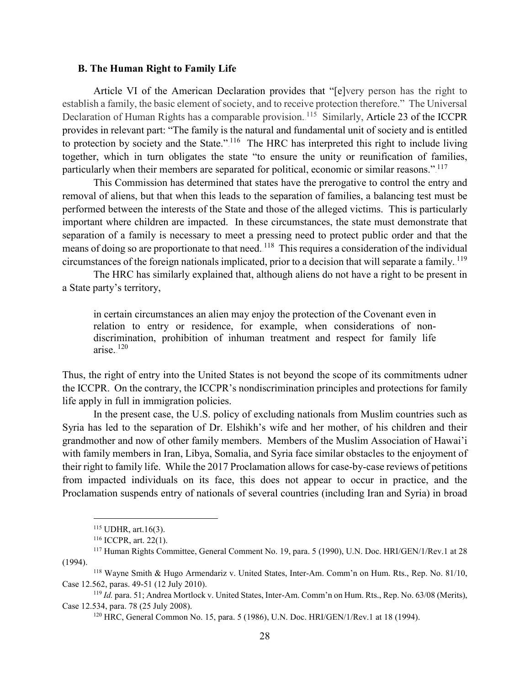#### <span id="page-29-0"></span>**B. The Human Right to Family Life**

Article VI of the American Declaration provides that "[e]very person has the right to establish a family, the basic element of society, and to receive protection therefore." The Universal Declaration of Human Rights has a comparable provision.<sup>115</sup> Similarly, Article 23 of the ICCPR provides in relevant part: "The family is the natural and fundamental unit of society and is entitled to protection by society and the State." $116$  The HRC has interpreted this right to include living together, which in turn obligates the state "to ensure the unity or reunification of families, particularly when their members are separated for political, economic or similar reasons."<sup>117</sup>

This Commission has determined that states have the prerogative to control the entry and removal of aliens, but that when this leads to the separation of families, a balancing test must be performed between the interests of the State and those of the alleged victims. This is particularly important where children are impacted. In these circumstances, the state must demonstrate that separation of a family is necessary to meet a pressing need to protect public order and that the means of doing so are proportionate to that need. <sup>118</sup> This requires a consideration of the individual circumstances of the foreign nationals implicated, prior to a decision that will separate a family. <sup>119</sup>

The HRC has similarly explained that, although aliens do not have a right to be present in a State party's territory,

in certain circumstances an alien may enjoy the protection of the Covenant even in relation to entry or residence, for example, when considerations of nondiscrimination, prohibition of inhuman treatment and respect for family life arise. $120$ 

Thus, the right of entry into the United States is not beyond the scope of its commitments udner the ICCPR. On the contrary, the ICCPR's nondiscrimination principles and protections for family life apply in full in immigration policies.

In the present case, the U.S. policy of excluding nationals from Muslim countries such as Syria has led to the separation of Dr. Elshikh's wife and her mother, of his children and their grandmother and now of other family members. Members of the Muslim Association of Hawai'i with family members in Iran, Libya, Somalia, and Syria face similar obstacles to the enjoyment of their right to family life. While the 2017 Proclamation allows for case-by-case reviews of petitions from impacted individuals on its face, this does not appear to occur in practice, and the Proclamation suspends entry of nationals of several countries (including Iran and Syria) in broad

 <sup>115</sup> UDHR, art.16(3).

<sup>116</sup> ICCPR, art. 22(1).

<sup>&</sup>lt;sup>117</sup> Human Rights Committee, General Comment No. 19, para. 5 (1990), U.N. Doc. HRI/GEN/1/Rev.1 at 28 (1994).

<sup>118</sup> Wayne Smith & Hugo Armendariz v. United States, Inter-Am. Comm'n on Hum. Rts., Rep. No. 81/10, Case 12.562, paras. 49-51 (12 July 2010).

<sup>119</sup> *Id.* para. 51; Andrea Mortlock v. United States, Inter-Am. Comm'n on Hum. Rts., Rep. No. 63/08 (Merits), Case 12.534, para. 78 (25 July 2008).

<sup>120</sup> HRC, General Common No. 15, para. 5 (1986), U.N. Doc. HRI/GEN/1/Rev.1 at 18 (1994).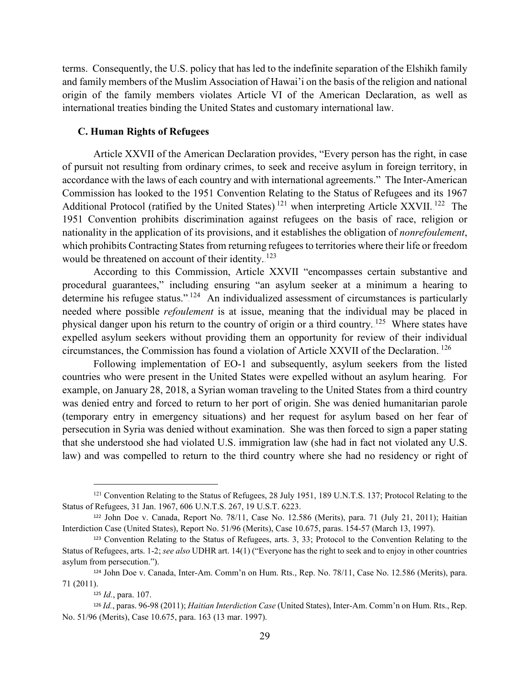terms. Consequently, the U.S. policy that has led to the indefinite separation of the Elshikh family and family members of the Muslim Association of Hawai'i on the basis of the religion and national origin of the family members violates Article VI of the American Declaration, as well as international treaties binding the United States and customary international law.

#### <span id="page-30-0"></span>**C. Human Rights of Refugees**

Article XXVII of the American Declaration provides, "Every person has the right, in case of pursuit not resulting from ordinary crimes, to seek and receive asylum in foreign territory, in accordance with the laws of each country and with international agreements." The Inter-American Commission has looked to the 1951 Convention Relating to the Status of Refugees and its 1967 Additional Protocol (ratified by the United States).<sup>121</sup> when interpreting Article XXVII.<sup>122</sup> The 1951 Convention prohibits discrimination against refugees on the basis of race, religion or nationality in the application of its provisions, and it establishes the obligation of *nonrefoulement*, which prohibits Contracting States from returning refugees to territories where their life or freedom would be threatened on account of their identity.<sup>123</sup>

According to this Commission, Article XXVII "encompasses certain substantive and procedural guarantees," including ensuring "an asylum seeker at a minimum a hearing to determine his refugee status.".<sup>124</sup> An individualized assessment of circumstances is particularly needed where possible *refoulement* is at issue, meaning that the individual may be placed in physical danger upon his return to the country of origin or a third country.<sup>125</sup> Where states have expelled asylum seekers without providing them an opportunity for review of their individual circumstances, the Commission has found a violation of Article XXVII of the Declaration.<sup>126</sup>

Following implementation of EO-1 and subsequently, asylum seekers from the listed countries who were present in the United States were expelled without an asylum hearing. For example, on January 28, 2018, a Syrian woman traveling to the United States from a third country was denied entry and forced to return to her port of origin. She was denied humanitarian parole (temporary entry in emergency situations) and her request for asylum based on her fear of persecution in Syria was denied without examination. She was then forced to sign a paper stating that she understood she had violated U.S. immigration law (she had in fact not violated any U.S. law) and was compelled to return to the third country where she had no residency or right of

<sup>&</sup>lt;sup>121</sup> Convention Relating to the Status of Refugees, 28 July 1951, 189 U.N.T.S. 137; Protocol Relating to the Status of Refugees, 31 Jan. 1967, 606 U.N.T.S. 267, 19 U.S.T. 6223.

<sup>122</sup> John Doe v. Canada, Report No. 78/11, Case No. 12.586 (Merits), para. 71 (July 21, 2011); Haitian Interdiction Case (United States), Report No. 51/96 (Merits), Case 10.675, paras. 154-57 (March 13, 1997).

<sup>123</sup> Convention Relating to the Status of Refugees, arts. 3, 33; Protocol to the Convention Relating to the Status of Refugees, arts. 1-2; *see also* UDHR art. 14(1) ("Everyone has the right to seek and to enjoy in other countries asylum from persecution.").

<sup>124</sup> John Doe v. Canada, Inter-Am. Comm'n on Hum. Rts., Rep. No. 78/11, Case No. 12.586 (Merits), para. 71 (2011).

<sup>125</sup> *Id.*, para. 107.

<sup>126</sup> *Id.*, paras. 96-98 (2011); *Haitian Interdiction Case* (United States), Inter-Am. Comm'n on Hum. Rts., Rep. No. 51/96 (Merits), Case 10.675, para. 163 (13 mar. 1997).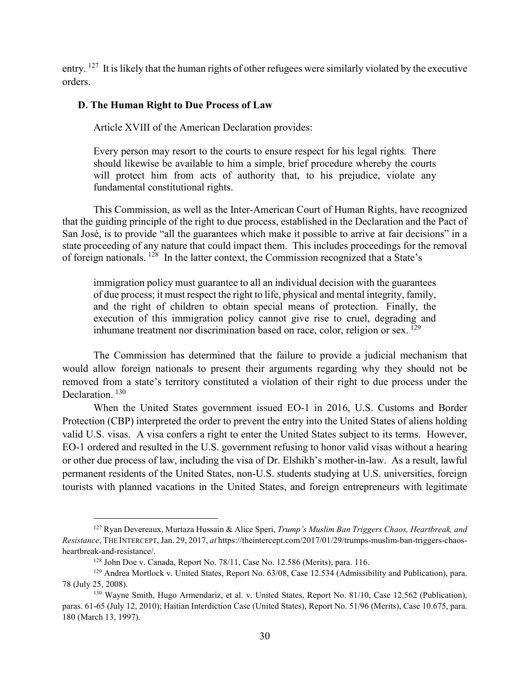entry.  $127$  It is likely that the human rights of other refugees were similarly violated by the executive orders.

#### <span id="page-31-0"></span>**D. The Human Right to Due Process of Law**

Article XVIII of the American Declaration provides:

Every person may resort to the courts to ensure respect for his legal rights. There should likewise be available to him a simple, brief procedure whereby the courts will protect him from acts of authority that, to his prejudice, violate any fundamental constitutional rights.

This Commission, as well as the Inter-American Court of Human Rights, have recognized that the guiding principle of the right to due process, established in the Declaration and the Pact of San José, is to provide "all the guarantees which make it possible to arrive at fair decisions" in a state proceeding of any nature that could impact them. This includes proceedings for the removal of foreign nationals.<sup>128</sup> In the latter context, the Commission recognized that a State's

immigration policy must guarantee to all an individual decision with the guarantees of due process; it must respect the right to life, physical and mental integrity, family, and the right of children to obtain special means of protection. Finally, the execution of this immigration policy cannot give rise to cruel, degrading and inhumane treatment nor discrimination based on race, color, religion or sex. $129$ 

The Commission has determined that the failure to provide a judicial mechanism that would allow foreign nationals to present their arguments regarding why they should not be removed from a state's territory constituted a violation of their right to due process under the Declaration.<sup>130</sup>

When the United States government issued EO-1 in 2016, U.S. Customs and Border Protection (CBP) interpreted the order to prevent the entry into the United States of aliens holding valid U.S. visas. A visa confers a right to enter the United States subject to its terms. However, EO-1 ordered and resulted in the U.S. government refusing to honor valid visas without a hearing or other due process of law, including the visa of Dr. Elshikh's mother-in-law. As a result, lawful permanent residents of the United States, non-U.S. students studying at U.S. universities, foreign tourists with planned vacations in the United States, and foreign entrepreneurs with legitimate

 <sup>127</sup> Ryan Devereaux, Murtaza Hussain & Alice Speri, *Trump's Muslim Ban Triggers Chaos, Heartbreak, and Resistance*, THE INTERCEPT, Jan. 29, 2017, *at* https://theintercept.com/2017/01/29/trumps-muslim-ban-triggers-chaosheartbreak-and-resistance/.

 $128$  John Doe v. Canada, Report No. 78/11, Case No. 12.586 (Merits), para. 116.

<sup>&</sup>lt;sup>129</sup> Andrea Mortlock v. United States, Report No. 63/08, Case 12.534 (Admissibility and Publication), para. 78 (July 25, 2008).

<sup>130</sup> Wayne Smith, Hugo Armendariz, et al. v. United States, Report No. 81/10, Case 12.562 (Publication), paras. 61-65 (July 12, 2010); Haitian Interdiction Case (United States), Report No. 51/96 (Merits), Case 10.675, para. 180 (March 13, 1997).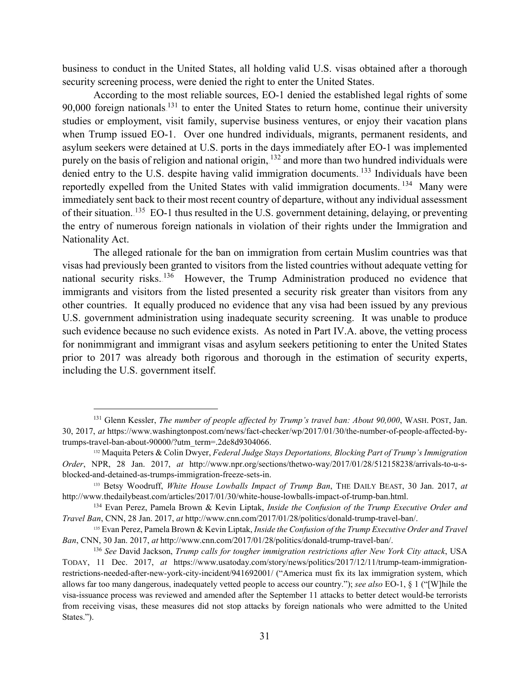business to conduct in the United States, all holding valid U.S. visas obtained after a thorough security screening process, were denied the right to enter the United States.

According to the most reliable sources, EO-1 denied the established legal rights of some 90,000 foreign nationals.<sup>131</sup> to enter the United States to return home, continue their university studies or employment, visit family, supervise business ventures, or enjoy their vacation plans when Trump issued EO-1. Over one hundred individuals, migrants, permanent residents, and asylum seekers were detained at U.S. ports in the days immediately after EO-1 was implemented purely on the basis of religion and national origin,  $^{132}$  and more than two hundred individuals were denied entry to the U.S. despite having valid immigration documents.<sup>133</sup> Individuals have been reportedly expelled from the United States with valid immigration documents. <sup>134</sup> Many were immediately sent back to their most recent country of departure, without any individual assessment of their situation.<sup>135</sup> EO-1 thus resulted in the U.S. government detaining, delaying, or preventing the entry of numerous foreign nationals in violation of their rights under the Immigration and Nationality Act.

The alleged rationale for the ban on immigration from certain Muslim countries was that visas had previously been granted to visitors from the listed countries without adequate vetting for national security risks.<sup>136</sup> However, the Trump Administration produced no evidence that immigrants and visitors from the listed presented a security risk greater than visitors from any other countries. It equally produced no evidence that any visa had been issued by any previous U.S. government administration using inadequate security screening. It was unable to produce such evidence because no such evidence exists. As noted in Part IV.A. above, the vetting process for nonimmigrant and immigrant visas and asylum seekers petitioning to enter the United States prior to 2017 was already both rigorous and thorough in the estimation of security experts, including the U.S. government itself.

 <sup>131</sup> Glenn Kessler, *The number of people affected by Trump's travel ban: About 90,000*, WASH. POST, Jan. 30, 2017, *at* https://www.washingtonpost.com/news/fact-checker/wp/2017/01/30/the-number-of-people-affected-bytrumps-travel-ban-about-90000/?utm\_term=.2de8d9304066.

<sup>132</sup> Maquita Peters & Colin Dwyer, *Federal Judge Stays Deportations, Blocking Part of Trump's Immigration Order*, NPR, 28 Jan. 2017, *at* http://www.npr.org/sections/thetwo-way/2017/01/28/512158238/arrivals-to-u-sblocked-and-detained-as-trumps-immigration-freeze-sets-in.

<sup>133</sup> Betsy Woodruff, *White House Lowballs Impact of Trump Ban*, THE DAILY BEAST, 30 Jan. 2017, *at* http://www.thedailybeast.com/articles/2017/01/30/white-house-lowballs-impact-of-trump-ban.html.

<sup>134</sup> Evan Perez, Pamela Brown & Kevin Liptak, *Inside the Confusion of the Trump Executive Order and Travel Ban*, CNN, 28 Jan. 2017, *at* http://www.cnn.com/2017/01/28/politics/donald-trump-travel-ban/.

<sup>135</sup> Evan Perez, Pamela Brown & Kevin Liptak, *Inside the Confusion of the Trump Executive Order and Travel Ban*, CNN, 30 Jan. 2017, *at* http://www.cnn.com/2017/01/28/politics/donald-trump-travel-ban/.

<sup>136</sup> *See* David Jackson, *Trump calls for tougher immigration restrictions after New York City attack*, USA TODAY, 11 Dec. 2017, *at* https://www.usatoday.com/story/news/politics/2017/12/11/trump-team-immigrationrestrictions-needed-after-new-york-city-incident/941692001/ ("America must fix its lax immigration system, which allows far too many dangerous, inadequately vetted people to access our country."); *see also* EO-1, § 1 ("[W]hile the visa-issuance process was reviewed and amended after the September 11 attacks to better detect would-be terrorists from receiving visas, these measures did not stop attacks by foreign nationals who were admitted to the United States.").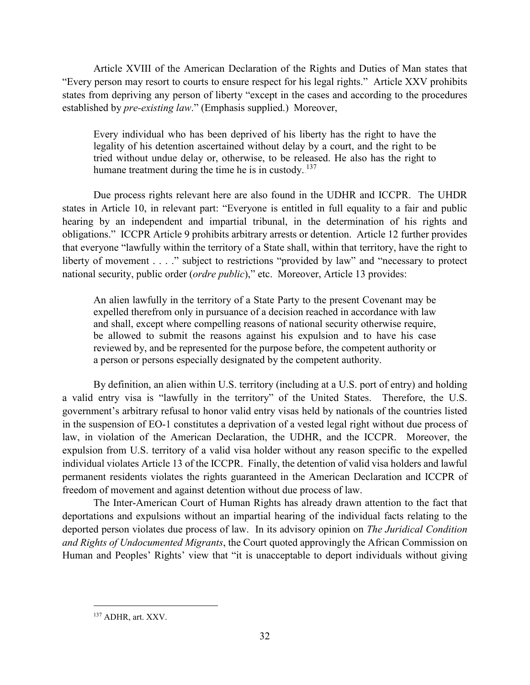Article XVIII of the American Declaration of the Rights and Duties of Man states that "Every person may resort to courts to ensure respect for his legal rights." Article XXV prohibits states from depriving any person of liberty "except in the cases and according to the procedures established by *pre-existing law*." (Emphasis supplied.) Moreover,

Every individual who has been deprived of his liberty has the right to have the legality of his detention ascertained without delay by a court, and the right to be tried without undue delay or, otherwise, to be released. He also has the right to humane treatment during the time he is in custody..<sup>137</sup>

Due process rights relevant here are also found in the UDHR and ICCPR. The UHDR states in Article 10, in relevant part: "Everyone is entitled in full equality to a fair and public hearing by an independent and impartial tribunal, in the determination of his rights and obligations." ICCPR Article 9 prohibits arbitrary arrests or detention. Article 12 further provides that everyone "lawfully within the territory of a State shall, within that territory, have the right to liberty of movement . . . ." subject to restrictions "provided by law" and "necessary to protect national security, public order (*ordre public*)," etc. Moreover, Article 13 provides:

An alien lawfully in the territory of a State Party to the present Covenant may be expelled therefrom only in pursuance of a decision reached in accordance with law and shall, except where compelling reasons of national security otherwise require, be allowed to submit the reasons against his expulsion and to have his case reviewed by, and be represented for the purpose before, the competent authority or a person or persons especially designated by the competent authority.

By definition, an alien within U.S. territory (including at a U.S. port of entry) and holding a valid entry visa is "lawfully in the territory" of the United States. Therefore, the U.S. government's arbitrary refusal to honor valid entry visas held by nationals of the countries listed in the suspension of EO-1 constitutes a deprivation of a vested legal right without due process of law, in violation of the American Declaration, the UDHR, and the ICCPR. Moreover, the expulsion from U.S. territory of a valid visa holder without any reason specific to the expelled individual violates Article 13 of the ICCPR. Finally, the detention of valid visa holders and lawful permanent residents violates the rights guaranteed in the American Declaration and ICCPR of freedom of movement and against detention without due process of law.

The Inter-American Court of Human Rights has already drawn attention to the fact that deportations and expulsions without an impartial hearing of the individual facts relating to the deported person violates due process of law. In its advisory opinion on *The Juridical Condition and Rights of Undocumented Migrants*, the Court quoted approvingly the African Commission on Human and Peoples' Rights' view that "it is unacceptable to deport individuals without giving

 <sup>137</sup> ADHR, art. XXV.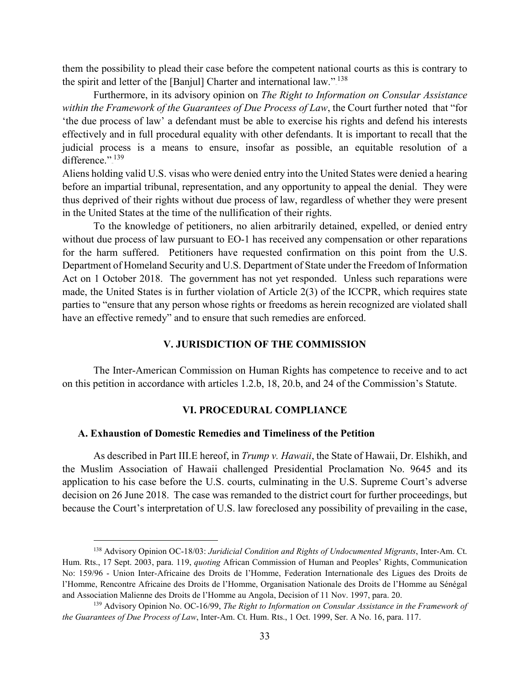them the possibility to plead their case before the competent national courts as this is contrary to the spirit and letter of the [Banjul] Charter and international law." $138$ 

Furthermore, in its advisory opinion on *The Right to Information on Consular Assistance within the Framework of the Guarantees of Due Process of Law*, the Court further noted that "for 'the due process of law' a defendant must be able to exercise his rights and defend his interests effectively and in full procedural equality with other defendants. It is important to recall that the judicial process is a means to ensure, insofar as possible, an equitable resolution of a difference.".<sup>139</sup>

Aliens holding valid U.S. visas who were denied entry into the United States were denied a hearing before an impartial tribunal, representation, and any opportunity to appeal the denial. They were thus deprived of their rights without due process of law, regardless of whether they were present in the United States at the time of the nullification of their rights.

To the knowledge of petitioners, no alien arbitrarily detained, expelled, or denied entry without due process of law pursuant to EO-1 has received any compensation or other reparations for the harm suffered. Petitioners have requested confirmation on this point from the U.S. Department of Homeland Security and U.S. Department of State under the Freedom of Information Act on 1 October 2018. The government has not yet responded. Unless such reparations were made, the United States is in further violation of Article 2(3) of the ICCPR, which requires state parties to "ensure that any person whose rights or freedoms as herein recognized are violated shall have an effective remedy" and to ensure that such remedies are enforced.

## **V. JURISDICTION OF THE COMMISSION**

<span id="page-34-0"></span>The Inter-American Commission on Human Rights has competence to receive and to act on this petition in accordance with articles 1.2.b, 18, 20.b, and 24 of the Commission's Statute.

#### **VI. PROCEDURAL COMPLIANCE**

#### <span id="page-34-2"></span><span id="page-34-1"></span>**A. Exhaustion of Domestic Remedies and Timeliness of the Petition**

As described in Part III.E hereof, in *Trump v. Hawaii*, the State of Hawaii, Dr. Elshikh, and the Muslim Association of Hawaii challenged Presidential Proclamation No. 9645 and its application to his case before the U.S. courts, culminating in the U.S. Supreme Court's adverse decision on 26 June 2018. The case was remanded to the district court for further proceedings, but because the Court's interpretation of U.S. law foreclosed any possibility of prevailing in the case,

 <sup>138</sup> Advisory Opinion OC-18/03: *Juridicial Condition and Rights of Undocumented Migrants*, Inter-Am. Ct. Hum. Rts., 17 Sept. 2003, para. 119, *quoting* African Commission of Human and Peoples' Rights, Communication No: 159/96 - Union Inter-Africaine des Droits de l'Homme, Federation Internationale des Ligues des Droits de l'Homme, Rencontre Africaine des Droits de l'Homme, Organisation Nationale des Droits de l'Homme au Sénégal and Association Malienne des Droits de l'Homme au Angola, Decision of 11 Nov. 1997, para. 20.

<sup>139</sup> Advisory Opinion No. OC-16/99, *The Right to Information on Consular Assistance in the Framework of the Guarantees of Due Process of Law*, Inter-Am. Ct. Hum. Rts., 1 Oct. 1999, Ser. A No. 16, para. 117.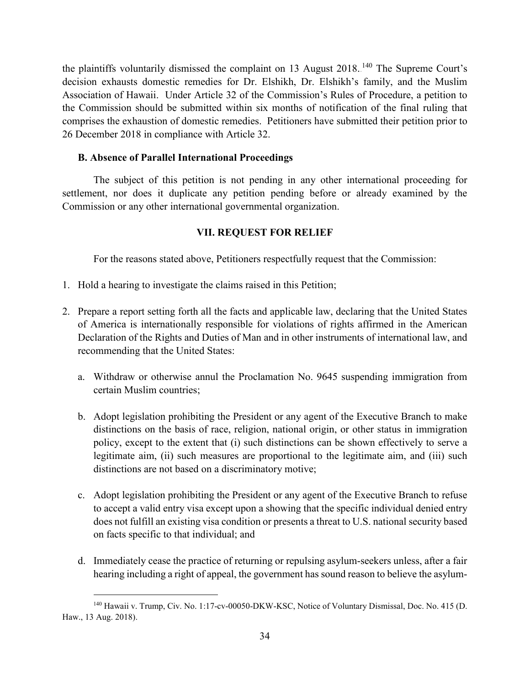the plaintiffs voluntarily dismissed the complaint on 13 August 2018.<sup>140</sup> The Supreme Court's decision exhausts domestic remedies for Dr. Elshikh, Dr. Elshikh's family, and the Muslim Association of Hawaii. Under Article 32 of the Commission's Rules of Procedure, a petition to the Commission should be submitted within six months of notification of the final ruling that comprises the exhaustion of domestic remedies. Petitioners have submitted their petition prior to 26 December 2018 in compliance with Article 32.

## <span id="page-35-0"></span>**B. Absence of Parallel International Proceedings**

The subject of this petition is not pending in any other international proceeding for settlement, nor does it duplicate any petition pending before or already examined by the Commission or any other international governmental organization.

## **VII. REQUEST FOR RELIEF**

<span id="page-35-1"></span>For the reasons stated above, Petitioners respectfully request that the Commission:

- 1. Hold a hearing to investigate the claims raised in this Petition;
- 2. Prepare a report setting forth all the facts and applicable law, declaring that the United States of America is internationally responsible for violations of rights affirmed in the American Declaration of the Rights and Duties of Man and in other instruments of international law, and recommending that the United States:
	- a. Withdraw or otherwise annul the Proclamation No. 9645 suspending immigration from certain Muslim countries;
	- b. Adopt legislation prohibiting the President or any agent of the Executive Branch to make distinctions on the basis of race, religion, national origin, or other status in immigration policy, except to the extent that (i) such distinctions can be shown effectively to serve a legitimate aim, (ii) such measures are proportional to the legitimate aim, and (iii) such distinctions are not based on a discriminatory motive;
	- c. Adopt legislation prohibiting the President or any agent of the Executive Branch to refuse to accept a valid entry visa except upon a showing that the specific individual denied entry does not fulfill an existing visa condition or presents a threat to U.S. national security based on facts specific to that individual; and
	- d. Immediately cease the practice of returning or repulsing asylum-seekers unless, after a fair hearing including a right of appeal, the government has sound reason to believe the asylum-

 <sup>140</sup> Hawaii v. Trump, Civ. No. 1:17-cv-00050-DKW-KSC, Notice of Voluntary Dismissal, Doc. No. 415 (D. Haw., 13 Aug. 2018).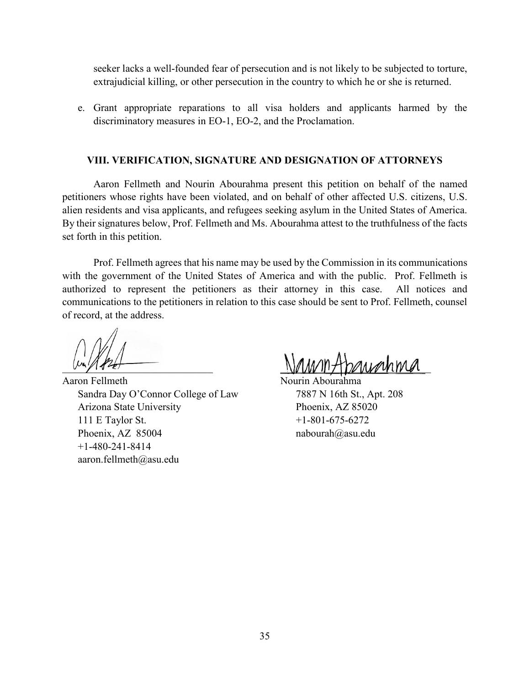seeker lacks a well-founded fear of persecution and is not likely to be subjected to torture, extrajudicial killing, or other persecution in the country to which he or she is returned.

e. Grant appropriate reparations to all visa holders and applicants harmed by the discriminatory measures in EO-1, EO-2, and the Proclamation.

#### **VIII. VERIFICATION, SIGNATURE AND DESIGNATION OF ATTORNEYS**

<span id="page-36-0"></span>Aaron Fellmeth and Nourin Abourahma present this petition on behalf of the named petitioners whose rights have been violated, and on behalf of other affected U.S. citizens, U.S. alien residents and visa applicants, and refugees seeking asylum in the United States of America. By their signatures below, Prof. Fellmeth and Ms. Abourahma attest to the truthfulness of the facts set forth in this petition.

Prof. Fellmeth agrees that his name may be used by the Commission in its communications with the government of the United States of America and with the public. Prof. Fellmeth is authorized to represent the petitioners as their attorney in this case. All notices and communications to the petitioners in relation to this case should be sent to Prof. Fellmeth, counsel of record, at the address.

Aaron Fellmeth Nourin Abourahma Sandra Day O'Connor College of Law 7887 N 16th St., Apt. 208 Arizona State University Phoenix, AZ 85020 111 E Taylor St.  $+1-801-675-6272$ Phoenix, AZ 85004 nabourah@asu.edu +1-480-241-8414 aaron.fellmeth@asu.edu

 $\mathbb{N}$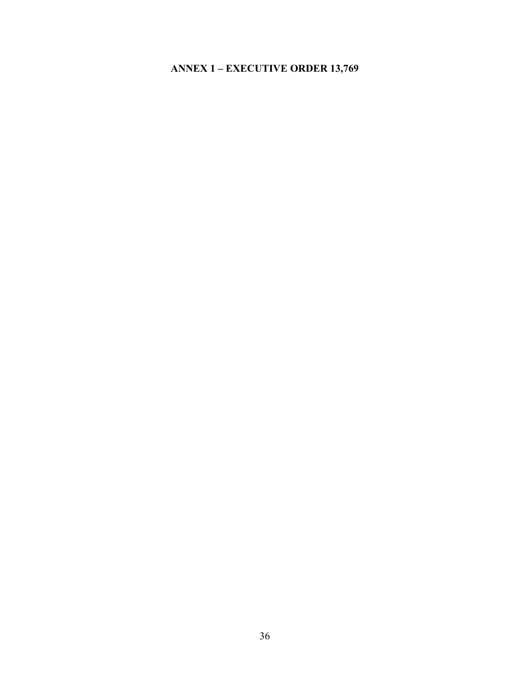# <span id="page-37-0"></span>**ANNEX 1 – EXECUTIVE ORDER 13,769**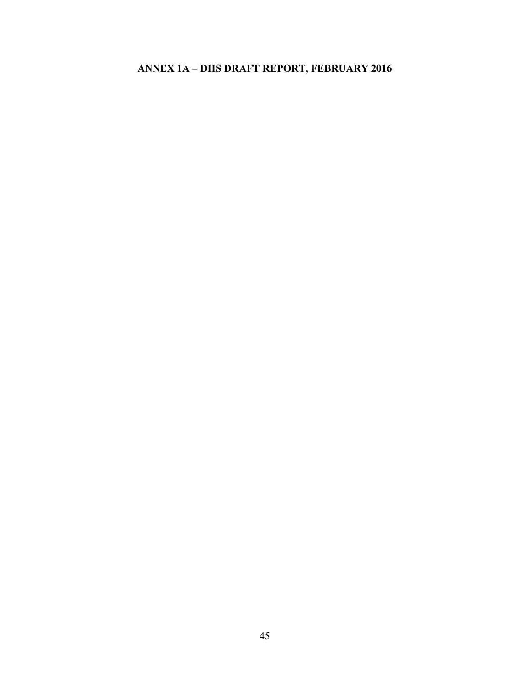# <span id="page-38-0"></span>**ANNEX 1A – DHS DRAFT REPORT, FEBRUARY 2016**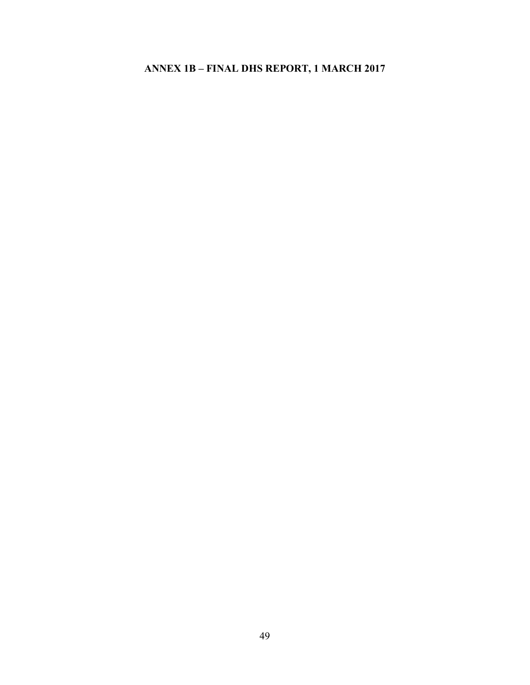## <span id="page-39-0"></span>**ANNEX 1B – FINAL DHS REPORT, 1 MARCH 2017**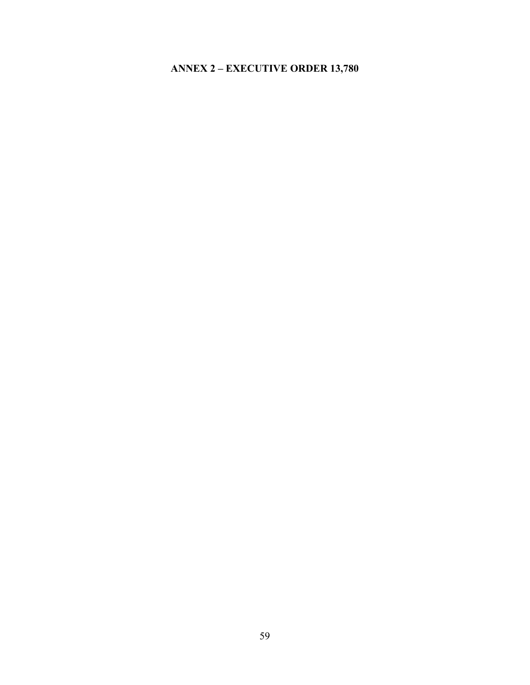# <span id="page-40-0"></span>**ANNEX 2 – EXECUTIVE ORDER 13,780**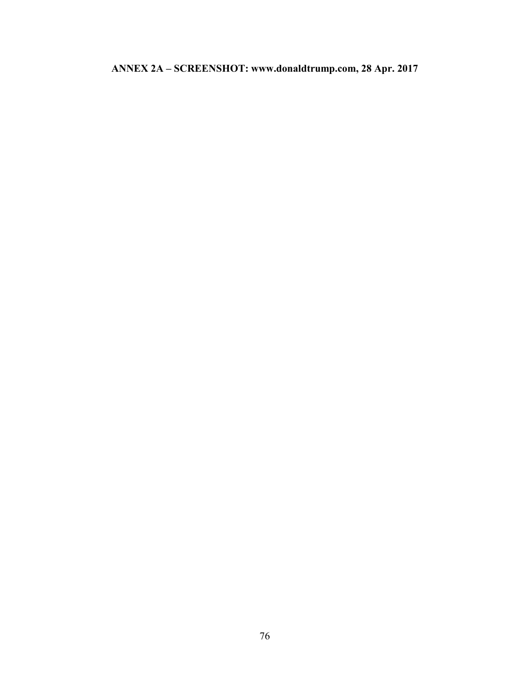# <span id="page-41-0"></span>**ANNEX 2A – SCREENSHOT: www.donaldtrump.com, 28 Apr. 2017**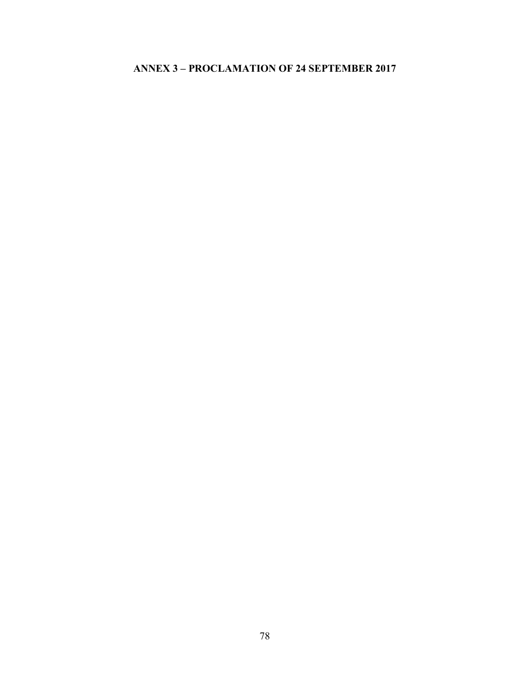# <span id="page-42-0"></span>**ANNEX 3 – PROCLAMATION OF 24 SEPTEMBER 2017**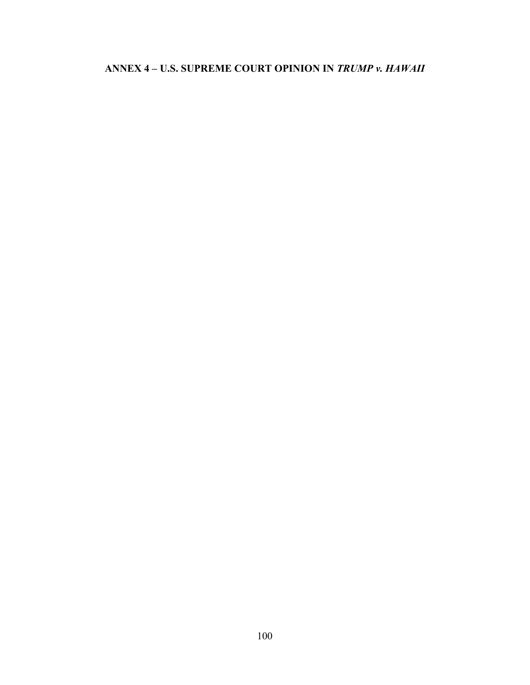## <span id="page-43-0"></span>**ANNEX 4 – U.S. SUPREME COURT OPINION IN** *TRUMP v. HAWAII*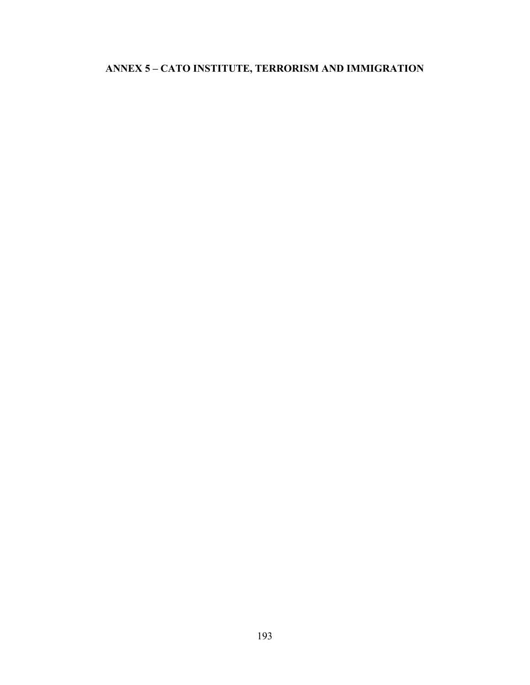# <span id="page-44-0"></span>**ANNEX 5 – CATO INSTITUTE, TERRORISM AND IMMIGRATION**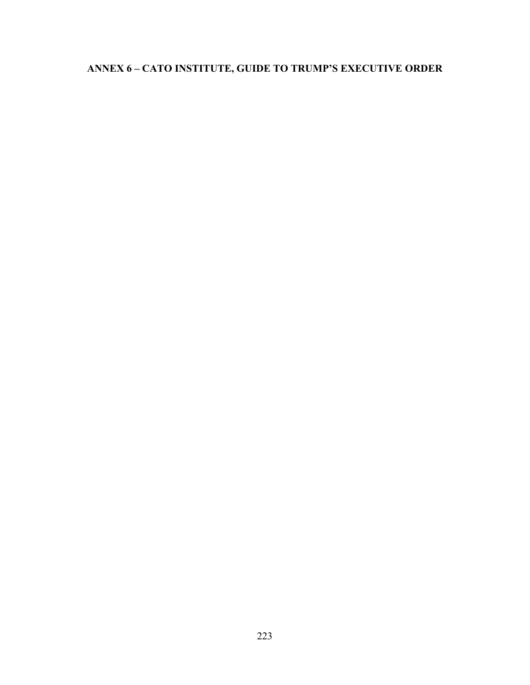# <span id="page-45-0"></span>**ANNEX 6 – CATO INSTITUTE, GUIDE TO TRUMP'S EXECUTIVE ORDER**